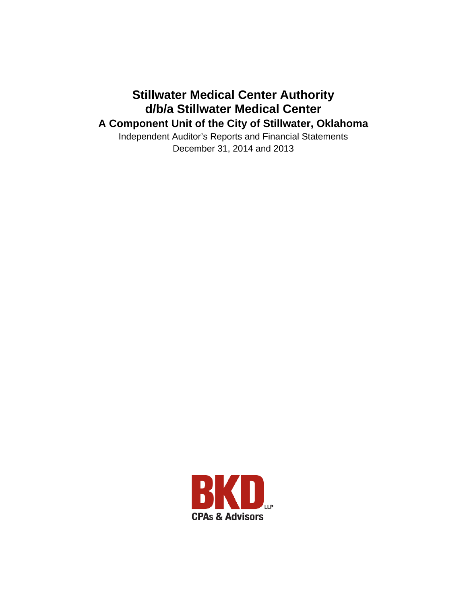# **Stillwater Medical Center Authority d/b/a Stillwater Medical Center**

## **A Component Unit of the City of Stillwater, Oklahoma**

Independent Auditor's Reports and Financial Statements December 31, 2014 and 2013

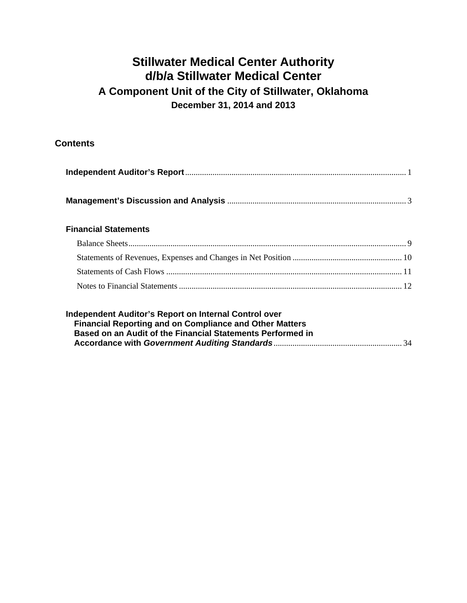## **Contents**

|--|

### **Financial Statements**

| Independent Auditor's Report on Internal Control over          |  |
|----------------------------------------------------------------|--|
| <b>Financial Reporting and on Compliance and Other Matters</b> |  |
| Based on an Audit of the Financial Statements Performed in     |  |
|                                                                |  |
|                                                                |  |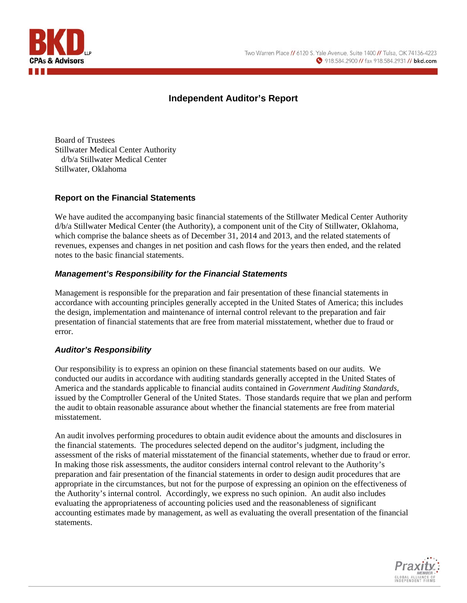

## **Independent Auditor's Report**

Board of Trustees Stillwater Medical Center Authority d/b/a Stillwater Medical Center Stillwater, Oklahoma

### **Report on the Financial Statements**

We have audited the accompanying basic financial statements of the Stillwater Medical Center Authority d/b/a Stillwater Medical Center (the Authority), a component unit of the City of Stillwater, Oklahoma, which comprise the balance sheets as of December 31, 2014 and 2013, and the related statements of revenues, expenses and changes in net position and cash flows for the years then ended, and the related notes to the basic financial statements.

### *Management's Responsibility for the Financial Statements*

Management is responsible for the preparation and fair presentation of these financial statements in accordance with accounting principles generally accepted in the United States of America; this includes the design, implementation and maintenance of internal control relevant to the preparation and fair presentation of financial statements that are free from material misstatement, whether due to fraud or error.

### *Auditor's Responsibility*

Our responsibility is to express an opinion on these financial statements based on our audits. We conducted our audits in accordance with auditing standards generally accepted in the United States of America and the standards applicable to financial audits contained in *Government Auditing Standards*, issued by the Comptroller General of the United States. Those standards require that we plan and perform the audit to obtain reasonable assurance about whether the financial statements are free from material misstatement.

An audit involves performing procedures to obtain audit evidence about the amounts and disclosures in the financial statements. The procedures selected depend on the auditor's judgment, including the assessment of the risks of material misstatement of the financial statements, whether due to fraud or error. In making those risk assessments, the auditor considers internal control relevant to the Authority's preparation and fair presentation of the financial statements in order to design audit procedures that are appropriate in the circumstances, but not for the purpose of expressing an opinion on the effectiveness of the Authority's internal control. Accordingly, we express no such opinion. An audit also includes evaluating the appropriateness of accounting policies used and the reasonableness of significant accounting estimates made by management, as well as evaluating the overall presentation of the financial statements.

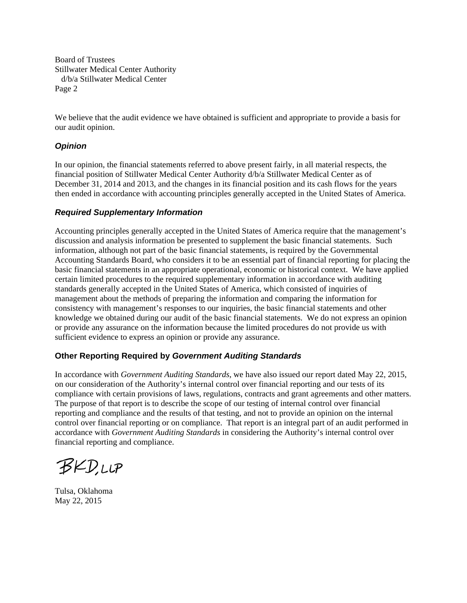Board of Trustees Stillwater Medical Center Authority d/b/a Stillwater Medical Center Page 2

We believe that the audit evidence we have obtained is sufficient and appropriate to provide a basis for our audit opinion.

### *Opinion*

In our opinion, the financial statements referred to above present fairly, in all material respects, the financial position of Stillwater Medical Center Authority d/b/a Stillwater Medical Center as of December 31, 2014 and 2013, and the changes in its financial position and its cash flows for the years then ended in accordance with accounting principles generally accepted in the United States of America.

#### *Required Supplementary Information*

Accounting principles generally accepted in the United States of America require that the management's discussion and analysis information be presented to supplement the basic financial statements. Such information, although not part of the basic financial statements, is required by the Governmental Accounting Standards Board, who considers it to be an essential part of financial reporting for placing the basic financial statements in an appropriate operational, economic or historical context. We have applied certain limited procedures to the required supplementary information in accordance with auditing standards generally accepted in the United States of America, which consisted of inquiries of management about the methods of preparing the information and comparing the information for consistency with management's responses to our inquiries, the basic financial statements and other knowledge we obtained during our audit of the basic financial statements. We do not express an opinion or provide any assurance on the information because the limited procedures do not provide us with sufficient evidence to express an opinion or provide any assurance.

#### **Other Reporting Required by** *Government Auditing Standards*

In accordance with *Government Auditing Standards*, we have also issued our report dated May 22, 2015, on our consideration of the Authority's internal control over financial reporting and our tests of its compliance with certain provisions of laws, regulations, contracts and grant agreements and other matters. The purpose of that report is to describe the scope of our testing of internal control over financial reporting and compliance and the results of that testing, and not to provide an opinion on the internal control over financial reporting or on compliance. That report is an integral part of an audit performed in accordance with *Government Auditing Standards* in considering the Authority's internal control over financial reporting and compliance.

BKDLLP

Tulsa, Oklahoma May 22, 2015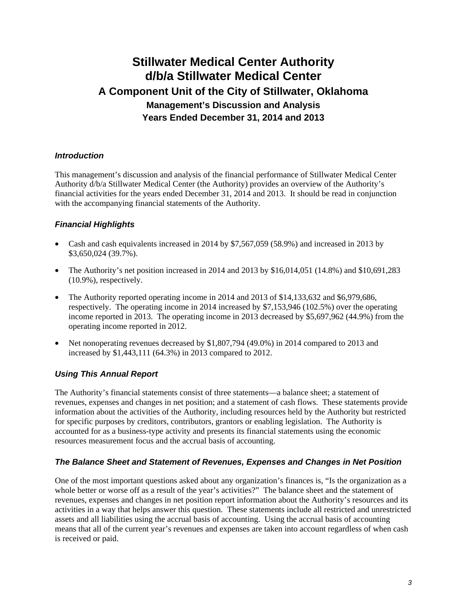# **Stillwater Medical Center Authority d/b/a Stillwater Medical Center A Component Unit of the City of Stillwater, Oklahoma Management's Discussion and Analysis Years Ended December 31, 2014 and 2013**

### *Introduction*

This management's discussion and analysis of the financial performance of Stillwater Medical Center Authority d/b/a Stillwater Medical Center (the Authority) provides an overview of the Authority's financial activities for the years ended December 31, 2014 and 2013. It should be read in conjunction with the accompanying financial statements of the Authority.

### *Financial Highlights*

- Cash and cash equivalents increased in 2014 by \$7,567,059 (58.9%) and increased in 2013 by \$3,650,024 (39.7%).
- The Authority's net position increased in 2014 and 2013 by \$16,014,051 (14.8%) and \$10,691,283 (10.9%), respectively.
- The Authority reported operating income in 2014 and 2013 of \$14,133,632 and \$6,979,686, respectively. The operating income in 2014 increased by \$7,153,946 (102.5%) over the operating income reported in 2013. The operating income in 2013 decreased by \$5,697,962 (44.9%) from the operating income reported in 2012.
- Net nonoperating revenues decreased by \$1,807,794 (49.0%) in 2014 compared to 2013 and increased by \$1,443,111 (64.3%) in 2013 compared to 2012.

## *Using This Annual Report*

The Authority's financial statements consist of three statements—a balance sheet; a statement of revenues, expenses and changes in net position; and a statement of cash flows. These statements provide information about the activities of the Authority, including resources held by the Authority but restricted for specific purposes by creditors, contributors, grantors or enabling legislation. The Authority is accounted for as a business-type activity and presents its financial statements using the economic resources measurement focus and the accrual basis of accounting.

### *The Balance Sheet and Statement of Revenues, Expenses and Changes in Net Position*

One of the most important questions asked about any organization's finances is, "Is the organization as a whole better or worse off as a result of the year's activities?" The balance sheet and the statement of revenues, expenses and changes in net position report information about the Authority's resources and its activities in a way that helps answer this question. These statements include all restricted and unrestricted assets and all liabilities using the accrual basis of accounting. Using the accrual basis of accounting means that all of the current year's revenues and expenses are taken into account regardless of when cash is received or paid.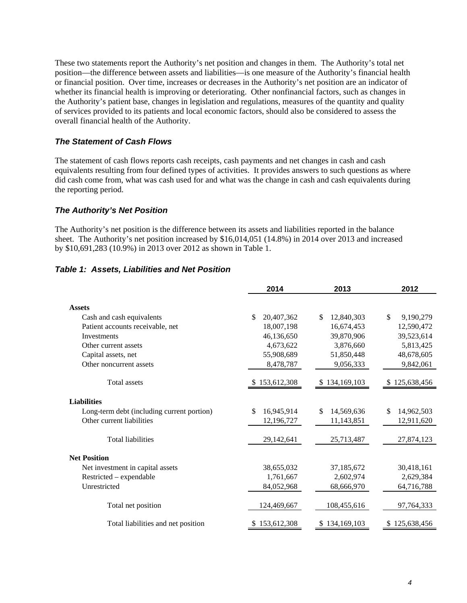These two statements report the Authority's net position and changes in them. The Authority's total net position—the difference between assets and liabilities—is one measure of the Authority's financial health or financial position. Over time, increases or decreases in the Authority's net position are an indicator of whether its financial health is improving or deteriorating. Other nonfinancial factors, such as changes in the Authority's patient base, changes in legislation and regulations, measures of the quantity and quality of services provided to its patients and local economic factors, should also be considered to assess the overall financial health of the Authority.

#### *The Statement of Cash Flows*

The statement of cash flows reports cash receipts, cash payments and net changes in cash and cash equivalents resulting from four defined types of activities. It provides answers to such questions as where did cash come from, what was cash used for and what was the change in cash and cash equivalents during the reporting period.

#### *The Authority's Net Position*

The Authority's net position is the difference between its assets and liabilities reported in the balance sheet. The Authority's net position increased by \$16,014,051 (14.8%) in 2014 over 2013 and increased by \$10,691,283 (10.9%) in 2013 over 2012 as shown in Table 1.

#### *Table 1: Assets, Liabilities and Net Position*

|                                            | 2014             | 2013             | 2012             |
|--------------------------------------------|------------------|------------------|------------------|
| <b>Assets</b>                              |                  |                  |                  |
| Cash and cash equivalents                  | \$<br>20,407,362 | \$<br>12,840,303 | \$<br>9,190,279  |
| Patient accounts receivable, net           | 18,007,198       | 16,674,453       | 12,590,472       |
| Investments                                | 46,136,650       | 39,870,906       | 39,523,614       |
| Other current assets                       | 4,673,622        | 3,876,660        | 5,813,425        |
| Capital assets, net                        | 55,908,689       | 51,850,448       | 48,678,605       |
| Other noncurrent assets                    | 8,478,787        | 9,056,333        | 9,842,061        |
| Total assets                               | 153,612,308      | 134,169,103      | 125,638,456      |
| <b>Liabilities</b>                         |                  |                  |                  |
| Long-term debt (including current portion) | \$<br>16,945,914 | \$<br>14,569,636 | \$<br>14,962,503 |
| Other current liabilities                  | 12,196,727       | 11,143,851       | 12,911,620       |
| <b>Total liabilities</b>                   | 29,142,641       | 25,713,487       | 27,874,123       |
| <b>Net Position</b>                        |                  |                  |                  |
| Net investment in capital assets           | 38,655,032       | 37,185,672       | 30,418,161       |
| Restricted - expendable                    | 1,761,667        | 2,602,974        | 2,629,384        |
| Unrestricted                               | 84,052,968       | 68,666,970       | 64,716,788       |
| Total net position                         | 124,469,667      | 108,455,616      | 97,764,333       |
| Total liabilities and net position         | 153,612,308      | \$134,169,103    | 125,638,456      |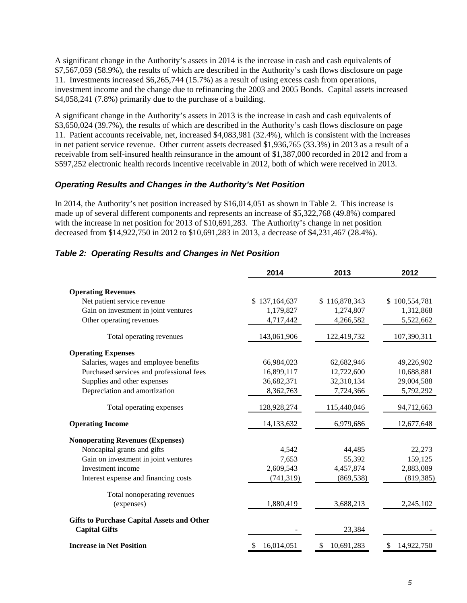A significant change in the Authority's assets in 2014 is the increase in cash and cash equivalents of \$7,567,059 (58.9%), the results of which are described in the Authority's cash flows disclosure on page 11. Investments increased \$6,265,744 (15.7%) as a result of using excess cash from operations, investment income and the change due to refinancing the 2003 and 2005 Bonds. Capital assets increased \$4,058,241 (7.8%) primarily due to the purchase of a building.

A significant change in the Authority's assets in 2013 is the increase in cash and cash equivalents of \$3,650,024 (39.7%), the results of which are described in the Authority's cash flows disclosure on page 11. Patient accounts receivable, net, increased \$4,083,981 (32.4%), which is consistent with the increases in net patient service revenue. Other current assets decreased \$1,936,765 (33.3%) in 2013 as a result of a receivable from self-insured health reinsurance in the amount of \$1,387,000 recorded in 2012 and from a \$597,252 electronic health records incentive receivable in 2012, both of which were received in 2013.

#### *Operating Results and Changes in the Authority's Net Position*

In 2014, the Authority's net position increased by \$16,014,051 as shown in Table 2. This increase is made up of several different components and represents an increase of \$5,322,768 (49.8%) compared with the increase in net position for 2013 of \$10,691,283. The Authority's change in net position decreased from \$14,922,750 in 2012 to \$10,691,283 in 2013, a decrease of \$4,231,467 (28.4%).

|                                                   | 2014          | 2013          | 2012          |
|---------------------------------------------------|---------------|---------------|---------------|
| <b>Operating Revenues</b>                         |               |               |               |
| Net patient service revenue                       | \$137,164,637 | \$116,878,343 | \$100,554,781 |
| Gain on investment in joint ventures              | 1,179,827     | 1,274,807     | 1,312,868     |
| Other operating revenues                          | 4,717,442     | 4,266,582     | 5,522,662     |
| Total operating revenues                          | 143,061,906   | 122,419,732   | 107,390,311   |
| <b>Operating Expenses</b>                         |               |               |               |
| Salaries, wages and employee benefits             | 66,984,023    | 62,682,946    | 49,226,902    |
| Purchased services and professional fees          | 16,899,117    | 12,722,600    | 10,688,881    |
| Supplies and other expenses                       | 36,682,371    | 32,310,134    | 29,004,588    |
| Depreciation and amortization                     | 8,362,763     | 7,724,366     | 5,792,292     |
| Total operating expenses                          | 128,928,274   | 115,440,046   | 94,712,663    |
| <b>Operating Income</b>                           | 14,133,632    | 6,979,686     | 12,677,648    |
| <b>Nonoperating Revenues (Expenses)</b>           |               |               |               |
| Noncapital grants and gifts                       | 4,542         | 44,485        | 22,273        |
| Gain on investment in joint ventures              | 7,653         | 55,392        | 159,125       |
| Investment income                                 | 2,609,543     | 4,457,874     | 2,883,089     |
| Interest expense and financing costs              | (741, 319)    | (869, 538)    | (819, 385)    |
| Total nonoperating revenues                       |               |               |               |
| (expenses)                                        | 1,880,419     | 3,688,213     | 2,245,102     |
| <b>Gifts to Purchase Capital Assets and Other</b> |               |               |               |
| <b>Capital Gifts</b>                              |               | 23,384        |               |
| <b>Increase in Net Position</b>                   | 16,014,051    | 10,691,283    | 14,922,750    |

#### *Table 2: Operating Results and Changes in Net Position*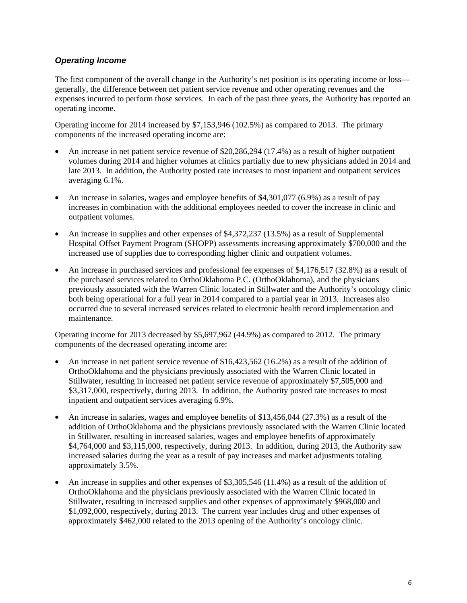### *Operating Income*

The first component of the overall change in the Authority's net position is its operating income or loss generally, the difference between net patient service revenue and other operating revenues and the expenses incurred to perform those services. In each of the past three years, the Authority has reported an operating income.

Operating income for 2014 increased by \$7,153,946 (102.5%) as compared to 2013. The primary components of the increased operating income are:

- An increase in net patient service revenue of \$20,286,294 (17.4%) as a result of higher outpatient volumes during 2014 and higher volumes at clinics partially due to new physicians added in 2014 and late 2013. In addition, the Authority posted rate increases to most inpatient and outpatient services averaging 6.1%.
- An increase in salaries, wages and employee benefits of  $$4,301,077$  (6.9%) as a result of pay increases in combination with the additional employees needed to cover the increase in clinic and outpatient volumes.
- An increase in supplies and other expenses of \$4,372,237 (13.5%) as a result of Supplemental Hospital Offset Payment Program (SHOPP) assessments increasing approximately \$700,000 and the increased use of supplies due to corresponding higher clinic and outpatient volumes.
- An increase in purchased services and professional fee expenses of \$4,176,517 (32.8%) as a result of the purchased services related to OrthoOklahoma P.C. (OrthoOklahoma), and the physicians previously associated with the Warren Clinic located in Stillwater and the Authority's oncology clinic both being operational for a full year in 2014 compared to a partial year in 2013. Increases also occurred due to several increased services related to electronic health record implementation and maintenance.

Operating income for 2013 decreased by \$5,697,962 (44.9%) as compared to 2012. The primary components of the decreased operating income are:

- An increase in net patient service revenue of \$16,423,562 (16.2%) as a result of the addition of OrthoOklahoma and the physicians previously associated with the Warren Clinic located in Stillwater, resulting in increased net patient service revenue of approximately \$7,505,000 and \$3,317,000, respectively, during 2013. In addition, the Authority posted rate increases to most inpatient and outpatient services averaging 6.9%.
- An increase in salaries, wages and employee benefits of \$13,456,044 (27.3%) as a result of the addition of OrthoOklahoma and the physicians previously associated with the Warren Clinic located in Stillwater, resulting in increased salaries, wages and employee benefits of approximately \$4,764,000 and \$3,115,000, respectively, during 2013. In addition, during 2013, the Authority saw increased salaries during the year as a result of pay increases and market adjustments totaling approximately 3.5%.
- An increase in supplies and other expenses of \$3,305,546 (11.4%) as a result of the addition of OrthoOklahoma and the physicians previously associated with the Warren Clinic located in Stillwater, resulting in increased supplies and other expenses of approximately \$968,000 and \$1,092,000, respectively, during 2013. The current year includes drug and other expenses of approximately \$462,000 related to the 2013 opening of the Authority's oncology clinic.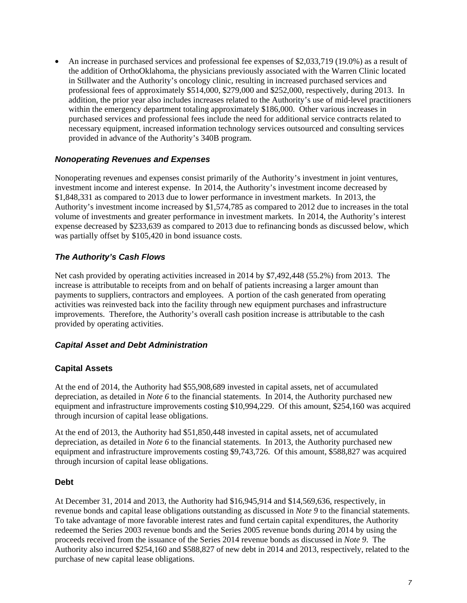• An increase in purchased services and professional fee expenses of \$2,033,719 (19.0%) as a result of the addition of OrthoOklahoma, the physicians previously associated with the Warren Clinic located in Stillwater and the Authority's oncology clinic, resulting in increased purchased services and professional fees of approximately \$514,000, \$279,000 and \$252,000, respectively, during 2013. In addition, the prior year also includes increases related to the Authority's use of mid-level practitioners within the emergency department totaling approximately \$186,000. Other various increases in purchased services and professional fees include the need for additional service contracts related to necessary equipment, increased information technology services outsourced and consulting services provided in advance of the Authority's 340B program.

#### *Nonoperating Revenues and Expenses*

Nonoperating revenues and expenses consist primarily of the Authority's investment in joint ventures, investment income and interest expense. In 2014, the Authority's investment income decreased by \$1,848,331 as compared to 2013 due to lower performance in investment markets. In 2013, the Authority's investment income increased by \$1,574,785 as compared to 2012 due to increases in the total volume of investments and greater performance in investment markets. In 2014, the Authority's interest expense decreased by \$233,639 as compared to 2013 due to refinancing bonds as discussed below, which was partially offset by \$105,420 in bond issuance costs.

### *The Authority's Cash Flows*

Net cash provided by operating activities increased in 2014 by \$7,492,448 (55.2%) from 2013. The increase is attributable to receipts from and on behalf of patients increasing a larger amount than payments to suppliers, contractors and employees. A portion of the cash generated from operating activities was reinvested back into the facility through new equipment purchases and infrastructure improvements. Therefore, the Authority's overall cash position increase is attributable to the cash provided by operating activities.

### *Capital Asset and Debt Administration*

### **Capital Assets**

At the end of 2014, the Authority had \$55,908,689 invested in capital assets, net of accumulated depreciation, as detailed in *Note 6* to the financial statements. In 2014, the Authority purchased new equipment and infrastructure improvements costing \$10,994,229. Of this amount, \$254,160 was acquired through incursion of capital lease obligations.

At the end of 2013, the Authority had \$51,850,448 invested in capital assets, net of accumulated depreciation, as detailed in *Note 6* to the financial statements. In 2013, the Authority purchased new equipment and infrastructure improvements costing \$9,743,726. Of this amount, \$588,827 was acquired through incursion of capital lease obligations.

#### **Debt**

At December 31, 2014 and 2013, the Authority had \$16,945,914 and \$14,569,636, respectively, in revenue bonds and capital lease obligations outstanding as discussed in *Note 9* to the financial statements. To take advantage of more favorable interest rates and fund certain capital expenditures, the Authority redeemed the Series 2003 revenue bonds and the Series 2005 revenue bonds during 2014 by using the proceeds received from the issuance of the Series 2014 revenue bonds as discussed in *Note 9*. The Authority also incurred \$254,160 and \$588,827 of new debt in 2014 and 2013, respectively, related to the purchase of new capital lease obligations.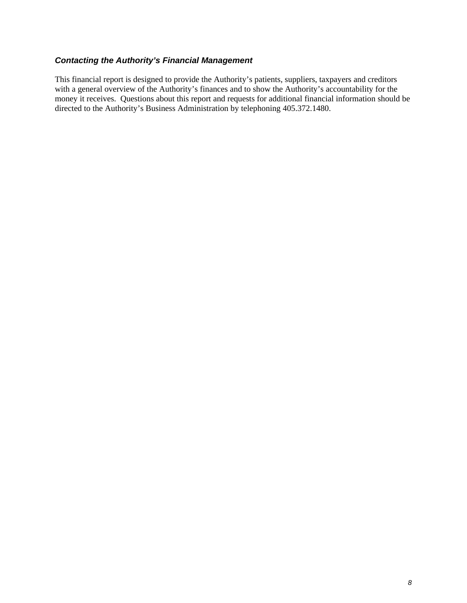### *Contacting the Authority's Financial Management*

This financial report is designed to provide the Authority's patients, suppliers, taxpayers and creditors with a general overview of the Authority's finances and to show the Authority's accountability for the money it receives. Questions about this report and requests for additional financial information should be directed to the Authority's Business Administration by telephoning 405.372.1480.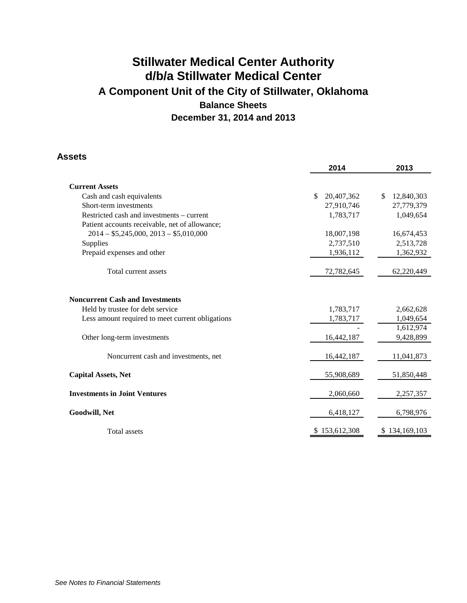## **Assets**

|                                                  | 2014              | 2013              |
|--------------------------------------------------|-------------------|-------------------|
|                                                  |                   |                   |
| <b>Current Assets</b>                            |                   |                   |
| Cash and cash equivalents                        | 20,407,362<br>\$. | 12,840,303<br>\$. |
| Short-term investments                           | 27,910,746        | 27,779,379        |
| Restricted cash and investments – current        | 1,783,717         | 1,049,654         |
| Patient accounts receivable, net of allowance;   |                   |                   |
| $2014 - $5,245,000, 2013 - $5,010,000$           | 18,007,198        | 16,674,453        |
| Supplies                                         | 2,737,510         | 2,513,728         |
| Prepaid expenses and other                       | 1,936,112         | 1,362,932         |
| Total current assets                             | 72,782,645        | 62,220,449        |
| <b>Noncurrent Cash and Investments</b>           |                   |                   |
| Held by trustee for debt service                 | 1,783,717         | 2,662,628         |
| Less amount required to meet current obligations | 1,783,717         | 1,049,654         |
|                                                  |                   | 1,612,974         |
| Other long-term investments                      | 16,442,187        | 9,428,899         |
| Noncurrent cash and investments, net             | 16,442,187        | 11,041,873        |
| <b>Capital Assets, Net</b>                       | 55,908,689        | 51,850,448        |
| <b>Investments in Joint Ventures</b>             | 2,060,660         | 2,257,357         |
| Goodwill, Net                                    | 6,418,127         | 6,798,976         |
| <b>Total assets</b>                              | \$153,612,308     | \$134,169,103     |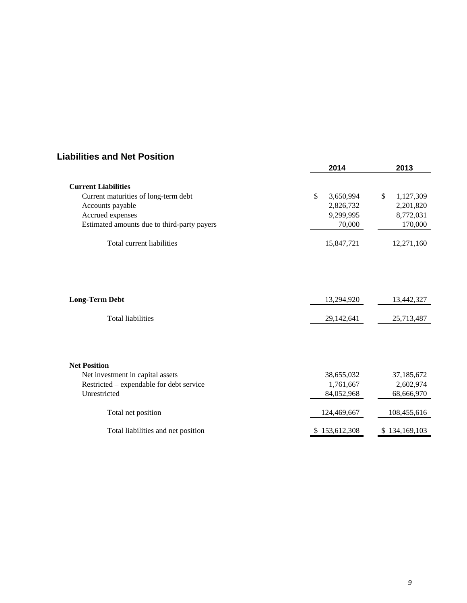## **Liabilities and Net Position**

|                                             | 2014                       | 2013             |
|---------------------------------------------|----------------------------|------------------|
| <b>Current Liabilities</b>                  |                            |                  |
| Current maturities of long-term debt        | $\mathcal{S}$<br>3,650,994 | \$<br>1,127,309  |
| Accounts payable                            | 2,826,732                  | 2,201,820        |
| Accrued expenses                            | 9,299,995                  | 8,772,031        |
| Estimated amounts due to third-party payers | 70,000                     | 170,000          |
| Total current liabilities                   | 15,847,721                 | 12,271,160       |
|                                             |                            |                  |
| <b>Long-Term Debt</b>                       | 13,294,920                 | 13,442,327       |
| <b>Total liabilities</b>                    | 29,142,641                 | 25,713,487       |
|                                             |                            |                  |
| <b>Net Position</b>                         |                            |                  |
| Net investment in capital assets            | 38,655,032                 | 37,185,672       |
| Restricted – expendable for debt service    | 1,761,667                  | 2,602,974        |
| Unrestricted                                | 84,052,968                 | 68,666,970       |
| Total net position                          | 124,469,667                | 108,455,616      |
| Total liabilities and net position          | 153,612,308                | 134,169,103<br>S |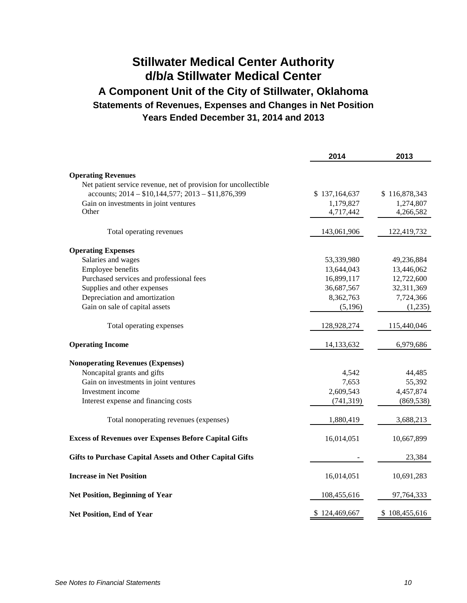# **Stillwater Medical Center Authority d/b/a Stillwater Medical Center A Component Unit of the City of Stillwater, Oklahoma**

## **Statements of Revenues, Expenses and Changes in Net Position**

**Years Ended December 31, 2014 and 2013** 

|                                                                 | 2014          | 2013          |
|-----------------------------------------------------------------|---------------|---------------|
| <b>Operating Revenues</b>                                       |               |               |
| Net patient service revenue, net of provision for uncollectible |               |               |
| accounts; 2014 - \$10,144,577; 2013 - \$11,876,399              | \$137,164,637 | \$116,878,343 |
| Gain on investments in joint ventures                           | 1,179,827     | 1,274,807     |
| Other                                                           | 4,717,442     | 4,266,582     |
| Total operating revenues                                        | 143,061,906   | 122,419,732   |
| <b>Operating Expenses</b>                                       |               |               |
| Salaries and wages                                              | 53,339,980    | 49,236,884    |
| Employee benefits                                               | 13,644,043    | 13,446,062    |
| Purchased services and professional fees                        | 16,899,117    | 12,722,600    |
| Supplies and other expenses                                     | 36,687,567    | 32,311,369    |
| Depreciation and amortization                                   | 8,362,763     | 7,724,366     |
| Gain on sale of capital assets                                  | (5,196)       | (1,235)       |
| Total operating expenses                                        | 128,928,274   | 115,440,046   |
| <b>Operating Income</b>                                         | 14,133,632    | 6,979,686     |
| <b>Nonoperating Revenues (Expenses)</b>                         |               |               |
| Noncapital grants and gifts                                     | 4,542         | 44,485        |
| Gain on investments in joint ventures                           | 7,653         | 55,392        |
| Investment income                                               | 2,609,543     | 4,457,874     |
| Interest expense and financing costs                            | (741, 319)    | (869, 538)    |
| Total nonoperating revenues (expenses)                          | 1,880,419     | 3,688,213     |
| <b>Excess of Revenues over Expenses Before Capital Gifts</b>    | 16,014,051    | 10,667,899    |
| <b>Gifts to Purchase Capital Assets and Other Capital Gifts</b> |               | 23,384        |
| <b>Increase in Net Position</b>                                 | 16,014,051    | 10,691,283    |
| <b>Net Position, Beginning of Year</b>                          | 108,455,616   | 97,764,333    |
| <b>Net Position, End of Year</b>                                | \$124,469,667 | \$108,455,616 |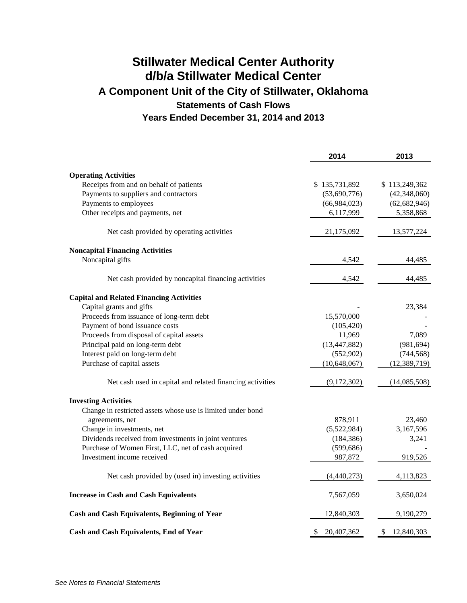# **Stillwater Medical Center Authority d/b/a Stillwater Medical Center A Component Unit of the City of Stillwater, Oklahoma Statements of Cash Flows Years Ended December 31, 2014 and 2013**

|                                                             | 2014             | 2013             |
|-------------------------------------------------------------|------------------|------------------|
| <b>Operating Activities</b>                                 |                  |                  |
| Receipts from and on behalf of patients                     | \$135,731,892    | \$113,249,362    |
| Payments to suppliers and contractors                       | (53,690,776)     | (42,348,060)     |
| Payments to employees                                       | (66,984,023)     | (62, 682, 946)   |
| Other receipts and payments, net                            | 6,117,999        | 5,358,868        |
|                                                             |                  |                  |
| Net cash provided by operating activities                   | 21,175,092       | 13,577,224       |
| <b>Noncapital Financing Activities</b>                      |                  |                  |
| Noncapital gifts                                            | 4,542            | 44,485           |
| Net cash provided by noncapital financing activities        | 4,542            | 44,485           |
| <b>Capital and Related Financing Activities</b>             |                  |                  |
| Capital grants and gifts                                    |                  | 23,384           |
| Proceeds from issuance of long-term debt                    | 15,570,000       |                  |
| Payment of bond issuance costs                              | (105, 420)       |                  |
| Proceeds from disposal of capital assets                    | 11,969           | 7,089            |
| Principal paid on long-term debt                            | (13, 447, 882)   | (981, 694)       |
| Interest paid on long-term debt                             | (552,902)        | (744, 568)       |
| Purchase of capital assets                                  | (10, 648, 067)   | (12, 389, 719)   |
| Net cash used in capital and related financing activities   | (9,172,302)      | (14,085,508)     |
| <b>Investing Activities</b>                                 |                  |                  |
| Change in restricted assets whose use is limited under bond |                  |                  |
| agreements, net                                             | 878,911          | 23,460           |
| Change in investments, net                                  | (5,522,984)      | 3,167,596        |
| Dividends received from investments in joint ventures       | (184, 386)       | 3,241            |
| Purchase of Women First, LLC, net of cash acquired          | (599, 686)       |                  |
| Investment income received                                  | 987,872          | 919,526          |
| Net cash provided by (used in) investing activities         | (4,440,273)      | 4,113,823        |
| <b>Increase in Cash and Cash Equivalents</b>                | 7,567,059        | 3,650,024        |
| <b>Cash and Cash Equivalents, Beginning of Year</b>         | 12,840,303       | 9,190,279        |
| Cash and Cash Equivalents, End of Year                      | \$<br>20,407,362 | 12,840,303<br>\$ |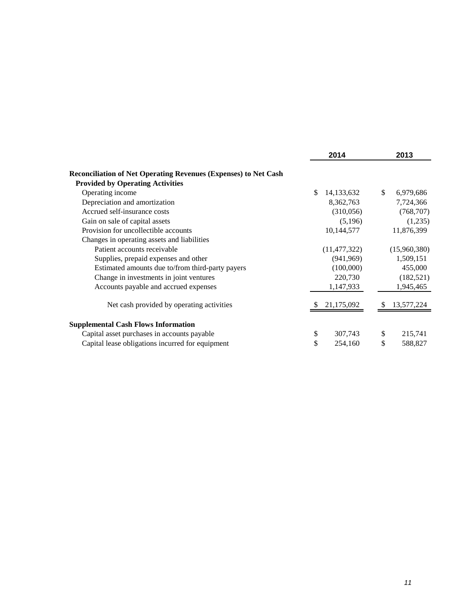|                                                                        | 2014             | 2013            |
|------------------------------------------------------------------------|------------------|-----------------|
| <b>Reconciliation of Net Operating Revenues (Expenses) to Net Cash</b> |                  |                 |
| <b>Provided by Operating Activities</b>                                |                  |                 |
| Operating income                                                       | \$<br>14,133,632 | \$<br>6,979,686 |
| Depreciation and amortization                                          | 8,362,763        | 7,724,366       |
| Accrued self-insurance costs                                           | (310,056)        | (768, 707)      |
| Gain on sale of capital assets                                         | (5,196)          | (1,235)         |
| Provision for uncollectible accounts                                   | 10,144,577       | 11,876,399      |
| Changes in operating assets and liabilities                            |                  |                 |
| Patient accounts receivable                                            | (11, 477, 322)   | (15,960,380)    |
| Supplies, prepaid expenses and other                                   | (941, 969)       | 1,509,151       |
| Estimated amounts due to/from third-party payers                       | (100,000)        | 455,000         |
| Change in investments in joint ventures                                | 220,730          | (182, 521)      |
| Accounts payable and accrued expenses                                  | 1,147,933        | 1,945,465       |
| Net cash provided by operating activities                              | 21,175,092       | 13,577,224<br>S |
| <b>Supplemental Cash Flows Information</b>                             |                  |                 |
| Capital asset purchases in accounts payable                            | \$<br>307,743    | \$<br>215,741   |
| Capital lease obligations incurred for equipment                       | \$<br>254,160    | \$<br>588,827   |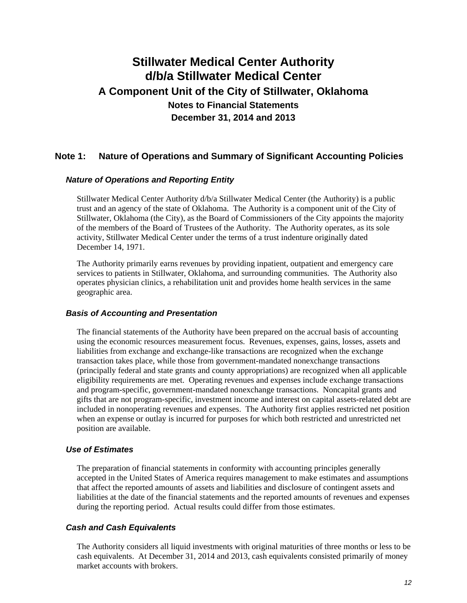### **Note 1: Nature of Operations and Summary of Significant Accounting Policies**

#### *Nature of Operations and Reporting Entity*

Stillwater Medical Center Authority d/b/a Stillwater Medical Center (the Authority) is a public trust and an agency of the state of Oklahoma. The Authority is a component unit of the City of Stillwater, Oklahoma (the City), as the Board of Commissioners of the City appoints the majority of the members of the Board of Trustees of the Authority. The Authority operates, as its sole activity, Stillwater Medical Center under the terms of a trust indenture originally dated December 14, 1971.

The Authority primarily earns revenues by providing inpatient, outpatient and emergency care services to patients in Stillwater, Oklahoma, and surrounding communities. The Authority also operates physician clinics, a rehabilitation unit and provides home health services in the same geographic area.

#### *Basis of Accounting and Presentation*

The financial statements of the Authority have been prepared on the accrual basis of accounting using the economic resources measurement focus. Revenues, expenses, gains, losses, assets and liabilities from exchange and exchange-like transactions are recognized when the exchange transaction takes place, while those from government-mandated nonexchange transactions (principally federal and state grants and county appropriations) are recognized when all applicable eligibility requirements are met. Operating revenues and expenses include exchange transactions and program-specific, government-mandated nonexchange transactions. Noncapital grants and gifts that are not program-specific, investment income and interest on capital assets-related debt are included in nonoperating revenues and expenses. The Authority first applies restricted net position when an expense or outlay is incurred for purposes for which both restricted and unrestricted net position are available.

#### *Use of Estimates*

The preparation of financial statements in conformity with accounting principles generally accepted in the United States of America requires management to make estimates and assumptions that affect the reported amounts of assets and liabilities and disclosure of contingent assets and liabilities at the date of the financial statements and the reported amounts of revenues and expenses during the reporting period. Actual results could differ from those estimates.

#### *Cash and Cash Equivalents*

The Authority considers all liquid investments with original maturities of three months or less to be cash equivalents. At December 31, 2014 and 2013, cash equivalents consisted primarily of money market accounts with brokers.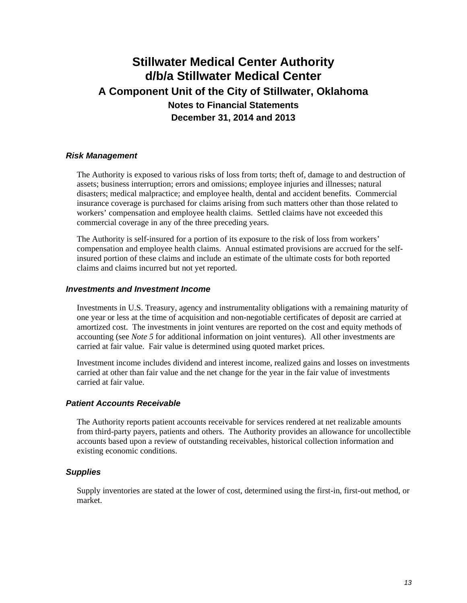#### *Risk Management*

The Authority is exposed to various risks of loss from torts; theft of, damage to and destruction of assets; business interruption; errors and omissions; employee injuries and illnesses; natural disasters; medical malpractice; and employee health, dental and accident benefits. Commercial insurance coverage is purchased for claims arising from such matters other than those related to workers' compensation and employee health claims. Settled claims have not exceeded this commercial coverage in any of the three preceding years.

The Authority is self-insured for a portion of its exposure to the risk of loss from workers' compensation and employee health claims. Annual estimated provisions are accrued for the selfinsured portion of these claims and include an estimate of the ultimate costs for both reported claims and claims incurred but not yet reported.

#### *Investments and Investment Income*

Investments in U.S. Treasury, agency and instrumentality obligations with a remaining maturity of one year or less at the time of acquisition and non-negotiable certificates of deposit are carried at amortized cost. The investments in joint ventures are reported on the cost and equity methods of accounting (see *Note 5* for additional information on joint ventures). All other investments are carried at fair value. Fair value is determined using quoted market prices.

Investment income includes dividend and interest income, realized gains and losses on investments carried at other than fair value and the net change for the year in the fair value of investments carried at fair value.

#### *Patient Accounts Receivable*

The Authority reports patient accounts receivable for services rendered at net realizable amounts from third-party payers, patients and others. The Authority provides an allowance for uncollectible accounts based upon a review of outstanding receivables, historical collection information and existing economic conditions.

#### *Supplies*

Supply inventories are stated at the lower of cost, determined using the first-in, first-out method, or market.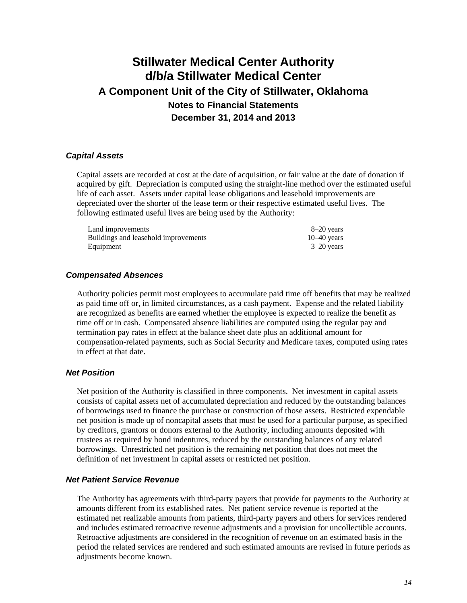#### *Capital Assets*

Capital assets are recorded at cost at the date of acquisition, or fair value at the date of donation if acquired by gift. Depreciation is computed using the straight-line method over the estimated useful life of each asset. Assets under capital lease obligations and leasehold improvements are depreciated over the shorter of the lease term or their respective estimated useful lives. The following estimated useful lives are being used by the Authority:

| Land improvements                    | 8–20 years    |
|--------------------------------------|---------------|
| Buildings and leasehold improvements | $10-40$ years |
| Equipment                            | $3-20$ years  |

#### *Compensated Absences*

Authority policies permit most employees to accumulate paid time off benefits that may be realized as paid time off or, in limited circumstances, as a cash payment. Expense and the related liability are recognized as benefits are earned whether the employee is expected to realize the benefit as time off or in cash. Compensated absence liabilities are computed using the regular pay and termination pay rates in effect at the balance sheet date plus an additional amount for compensation-related payments, such as Social Security and Medicare taxes, computed using rates in effect at that date.

### *Net Position*

Net position of the Authority is classified in three components. Net investment in capital assets consists of capital assets net of accumulated depreciation and reduced by the outstanding balances of borrowings used to finance the purchase or construction of those assets. Restricted expendable net position is made up of noncapital assets that must be used for a particular purpose, as specified by creditors, grantors or donors external to the Authority, including amounts deposited with trustees as required by bond indentures, reduced by the outstanding balances of any related borrowings. Unrestricted net position is the remaining net position that does not meet the definition of net investment in capital assets or restricted net position.

#### *Net Patient Service Revenue*

The Authority has agreements with third-party payers that provide for payments to the Authority at amounts different from its established rates. Net patient service revenue is reported at the estimated net realizable amounts from patients, third-party payers and others for services rendered and includes estimated retroactive revenue adjustments and a provision for uncollectible accounts. Retroactive adjustments are considered in the recognition of revenue on an estimated basis in the period the related services are rendered and such estimated amounts are revised in future periods as adjustments become known.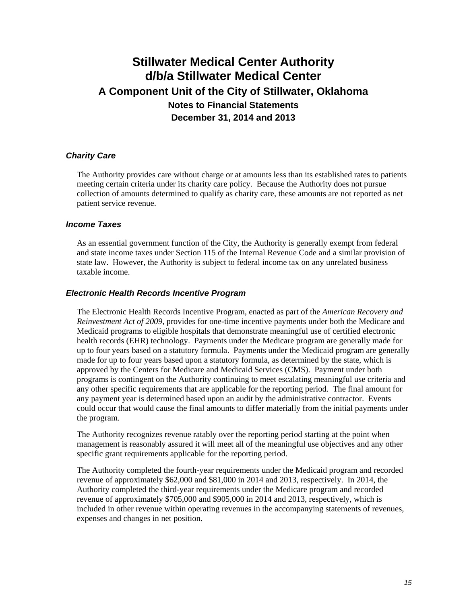### *Charity Care*

The Authority provides care without charge or at amounts less than its established rates to patients meeting certain criteria under its charity care policy. Because the Authority does not pursue collection of amounts determined to qualify as charity care, these amounts are not reported as net patient service revenue.

#### *Income Taxes*

As an essential government function of the City, the Authority is generally exempt from federal and state income taxes under Section 115 of the Internal Revenue Code and a similar provision of state law. However, the Authority is subject to federal income tax on any unrelated business taxable income.

#### *Electronic Health Records Incentive Program*

The Electronic Health Records Incentive Program, enacted as part of the *American Recovery and Reinvestment Act of 2009*, provides for one-time incentive payments under both the Medicare and Medicaid programs to eligible hospitals that demonstrate meaningful use of certified electronic health records (EHR) technology. Payments under the Medicare program are generally made for up to four years based on a statutory formula. Payments under the Medicaid program are generally made for up to four years based upon a statutory formula, as determined by the state, which is approved by the Centers for Medicare and Medicaid Services (CMS). Payment under both programs is contingent on the Authority continuing to meet escalating meaningful use criteria and any other specific requirements that are applicable for the reporting period. The final amount for any payment year is determined based upon an audit by the administrative contractor. Events could occur that would cause the final amounts to differ materially from the initial payments under the program.

The Authority recognizes revenue ratably over the reporting period starting at the point when management is reasonably assured it will meet all of the meaningful use objectives and any other specific grant requirements applicable for the reporting period.

The Authority completed the fourth-year requirements under the Medicaid program and recorded revenue of approximately \$62,000 and \$81,000 in 2014 and 2013, respectively. In 2014, the Authority completed the third-year requirements under the Medicare program and recorded revenue of approximately \$705,000 and \$905,000 in 2014 and 2013, respectively, which is included in other revenue within operating revenues in the accompanying statements of revenues, expenses and changes in net position.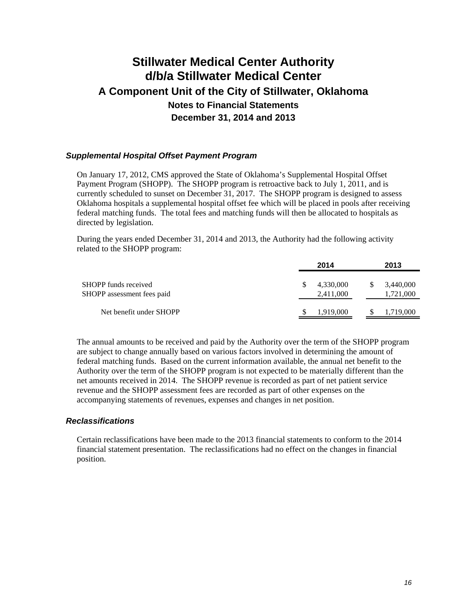#### *Supplemental Hospital Offset Payment Program*

On January 17, 2012, CMS approved the State of Oklahoma's Supplemental Hospital Offset Payment Program (SHOPP). The SHOPP program is retroactive back to July 1, 2011, and is currently scheduled to sunset on December 31, 2017. The SHOPP program is designed to assess Oklahoma hospitals a supplemental hospital offset fee which will be placed in pools after receiving federal matching funds. The total fees and matching funds will then be allocated to hospitals as directed by legislation.

During the years ended December 31, 2014 and 2013, the Authority had the following activity related to the SHOPP program:

|                                                    | 2014                   |    | 2013                   |
|----------------------------------------------------|------------------------|----|------------------------|
| SHOPP funds received<br>SHOPP assessment fees paid | 4,330,000<br>2,411,000 | S. | 3,440,000<br>1,721,000 |
| Net benefit under SHOPP                            | 1,919,000              |    | 1,719,000              |

The annual amounts to be received and paid by the Authority over the term of the SHOPP program are subject to change annually based on various factors involved in determining the amount of federal matching funds. Based on the current information available, the annual net benefit to the Authority over the term of the SHOPP program is not expected to be materially different than the net amounts received in 2014. The SHOPP revenue is recorded as part of net patient service revenue and the SHOPP assessment fees are recorded as part of other expenses on the accompanying statements of revenues, expenses and changes in net position.

#### *Reclassifications*

Certain reclassifications have been made to the 2013 financial statements to conform to the 2014 financial statement presentation. The reclassifications had no effect on the changes in financial position.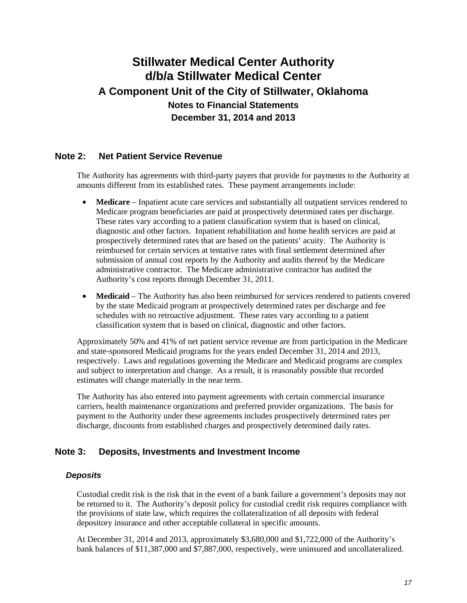### **Note 2: Net Patient Service Revenue**

The Authority has agreements with third-party payers that provide for payments to the Authority at amounts different from its established rates. These payment arrangements include:

- **Medicare** Inpatient acute care services and substantially all outpatient services rendered to Medicare program beneficiaries are paid at prospectively determined rates per discharge. These rates vary according to a patient classification system that is based on clinical, diagnostic and other factors. Inpatient rehabilitation and home health services are paid at prospectively determined rates that are based on the patients' acuity. The Authority is reimbursed for certain services at tentative rates with final settlement determined after submission of annual cost reports by the Authority and audits thereof by the Medicare administrative contractor. The Medicare administrative contractor has audited the Authority's cost reports through December 31, 2011.
- **Medicaid** The Authority has also been reimbursed for services rendered to patients covered by the state Medicaid program at prospectively determined rates per discharge and fee schedules with no retroactive adjustment. These rates vary according to a patient classification system that is based on clinical, diagnostic and other factors.

Approximately 50% and 41% of net patient service revenue are from participation in the Medicare and state-sponsored Medicaid programs for the years ended December 31, 2014 and 2013, respectively. Laws and regulations governing the Medicare and Medicaid programs are complex and subject to interpretation and change. As a result, it is reasonably possible that recorded estimates will change materially in the near term.

The Authority has also entered into payment agreements with certain commercial insurance carriers, health maintenance organizations and preferred provider organizations. The basis for payment to the Authority under these agreements includes prospectively determined rates per discharge, discounts from established charges and prospectively determined daily rates.

### **Note 3: Deposits, Investments and Investment Income**

#### *Deposits*

Custodial credit risk is the risk that in the event of a bank failure a government's deposits may not be returned to it. The Authority's deposit policy for custodial credit risk requires compliance with the provisions of state law, which requires the collateralization of all deposits with federal depository insurance and other acceptable collateral in specific amounts.

At December 31, 2014 and 2013, approximately \$3,680,000 and \$1,722,000 of the Authority's bank balances of \$11,387,000 and \$7,887,000, respectively, were uninsured and uncollateralized.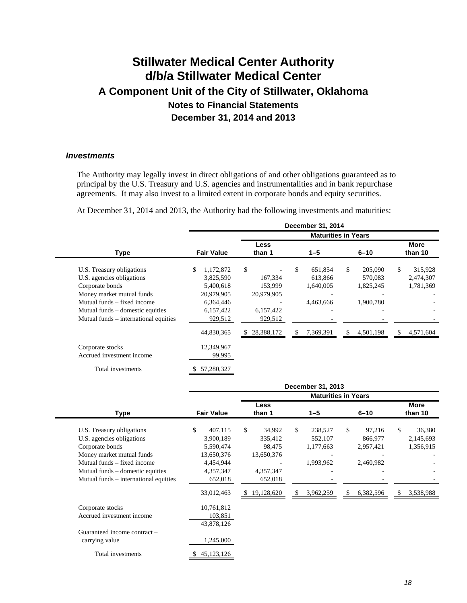#### *Investments*

The Authority may legally invest in direct obligations of and other obligations guaranteed as to principal by the U.S. Treasury and U.S. agencies and instrumentalities and in bank repurchase agreements. It may also invest to a limited extent in corporate bonds and equity securities.

At December 31, 2014 and 2013, the Authority had the following investments and maturities:

|                                                                                                                                       | December 31, 2014                                              |                                           |                                                    |                                                    |                                         |
|---------------------------------------------------------------------------------------------------------------------------------------|----------------------------------------------------------------|-------------------------------------------|----------------------------------------------------|----------------------------------------------------|-----------------------------------------|
|                                                                                                                                       | <b>Maturities in Years</b>                                     |                                           |                                                    |                                                    |                                         |
| <b>Type</b>                                                                                                                           | <b>Fair Value</b>                                              | Less<br>than 1                            | $1 - 5$                                            | $6 - 10$                                           | More<br>than 10                         |
| U.S. Treasury obligations<br>U.S. agencies obligations<br>Corporate bonds<br>Money market mutual funds<br>Mutual funds – fixed income | 1,172,872<br>3,825,590<br>5,400,618<br>20,979,905<br>6,364,446 | \$<br>167,334<br>153,999<br>20,979,905    | \$<br>651,854<br>613,866<br>1,640,005<br>4,463,666 | \$<br>205,090<br>570,083<br>1,825,245<br>1,900,780 | \$<br>315,928<br>2,474,307<br>1,781,369 |
| Mutual funds – domestic equities<br>Mutual funds – international equities                                                             | 6,157,422<br>929,512<br>44,830,365                             | 6,157,422<br>929,512<br>28,388,172<br>SS. | \$<br>7,369,391                                    | 4,501,198<br>S.                                    | 4,571,604                               |
| Corporate stocks<br>Accrued investment income<br>Total investments                                                                    | 12,349,967<br>99,995<br>57,280,327                             |                                           |                                                    |                                                    |                                         |

|                                                                                                                                                                                                                    |                                                                                            |                                                                         | December 31, 2013                                  |                                                             |                                        |
|--------------------------------------------------------------------------------------------------------------------------------------------------------------------------------------------------------------------|--------------------------------------------------------------------------------------------|-------------------------------------------------------------------------|----------------------------------------------------|-------------------------------------------------------------|----------------------------------------|
|                                                                                                                                                                                                                    |                                                                                            |                                                                         |                                                    | <b>Maturities in Years</b>                                  |                                        |
| Type                                                                                                                                                                                                               | <b>Fair Value</b>                                                                          | Less<br>than 1                                                          | $1 - 5$                                            | $6 - 10$                                                    | More<br>than 10                        |
| U.S. Treasury obligations<br>U.S. agencies obligations<br>Corporate bonds<br>Money market mutual funds<br>Mutual funds – fixed income<br>Mutual funds – domestic equities<br>Mutual funds – international equities | \$<br>407,115<br>3,900,189<br>5,590,474<br>13,650,376<br>4,454,944<br>4,357,347<br>652,018 | \$<br>34,992<br>335,412<br>98,475<br>13,650,376<br>4,357,347<br>652,018 | \$<br>238,527<br>552,107<br>1,177,663<br>1,993,962 | $\mathbf{s}$<br>97,216<br>866,977<br>2,957,421<br>2,460,982 | 36,380<br>\$<br>2,145,693<br>1,356,915 |
|                                                                                                                                                                                                                    | 33,012,463                                                                                 | 19,128,620                                                              | 3,962,259<br>\$                                    | \$<br>6,382,596                                             | 3,538,988<br>\$                        |
| Corporate stocks<br>Accrued investment income                                                                                                                                                                      | 10,761,812<br>103,851<br>43,878,126                                                        |                                                                         |                                                    |                                                             |                                        |
| Guaranteed income contract –<br>carrying value                                                                                                                                                                     | 1,245,000                                                                                  |                                                                         |                                                    |                                                             |                                        |
| Total investments                                                                                                                                                                                                  | 45, 123, 126                                                                               |                                                                         |                                                    |                                                             |                                        |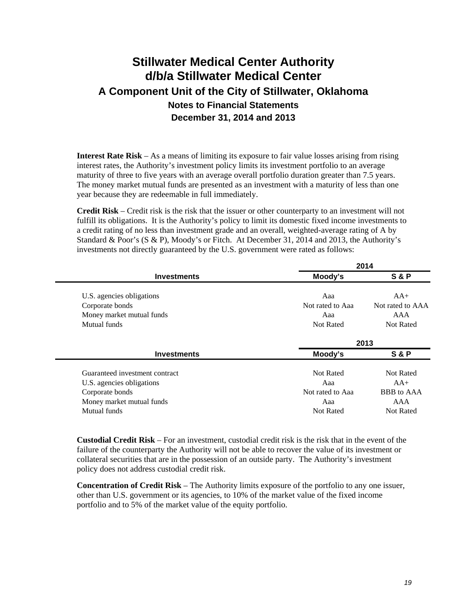**Interest Rate Risk** – As a means of limiting its exposure to fair value losses arising from rising interest rates, the Authority's investment policy limits its investment portfolio to an average maturity of three to five years with an average overall portfolio duration greater than 7.5 years. The money market mutual funds are presented as an investment with a maturity of less than one year because they are redeemable in full immediately.

**Credit Risk** – Credit risk is the risk that the issuer or other counterparty to an investment will not fulfill its obligations. It is the Authority's policy to limit its domestic fixed income investments to a credit rating of no less than investment grade and an overall, weighted-average rating of A by Standard & Poor's (S & P), Moody's or Fitch. At December 31, 2014 and 2013, the Authority's investments not directly guaranteed by the U.S. government were rated as follows:

|                                | 2014             |                   |  |  |
|--------------------------------|------------------|-------------------|--|--|
| <b>Investments</b>             | Moody's          | <b>S&amp;P</b>    |  |  |
| U.S. agencies obligations      | Aaa              | $AA+$             |  |  |
| Corporate bonds                | Not rated to Aaa | Not rated to AAA  |  |  |
| Money market mutual funds      | Aaa              | AAA               |  |  |
| Mutual funds                   | <b>Not Rated</b> | Not Rated         |  |  |
|                                |                  | 2013              |  |  |
| <b>Investments</b>             | Moody's          | <b>S&amp;P</b>    |  |  |
| Guaranteed investment contract | Not Rated        | <b>Not Rated</b>  |  |  |
| U.S. agencies obligations      | Aaa              | $AA+$             |  |  |
| Corporate bonds                | Not rated to Aaa | <b>BBB</b> to AAA |  |  |
| Money market mutual funds      | Aaa              | AAA               |  |  |
| Mutual funds                   | <b>Not Rated</b> | <b>Not Rated</b>  |  |  |
|                                |                  |                   |  |  |

**Custodial Credit Risk** – For an investment, custodial credit risk is the risk that in the event of the failure of the counterparty the Authority will not be able to recover the value of its investment or collateral securities that are in the possession of an outside party. The Authority's investment policy does not address custodial credit risk.

**Concentration of Credit Risk** – The Authority limits exposure of the portfolio to any one issuer, other than U.S. government or its agencies, to 10% of the market value of the fixed income portfolio and to 5% of the market value of the equity portfolio.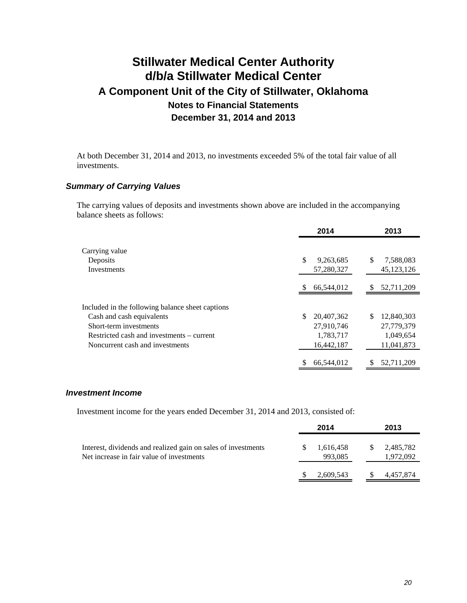At both December 31, 2014 and 2013, no investments exceeded 5% of the total fair value of all investments.

#### *Summary of Carrying Values*

The carrying values of deposits and investments shown above are included in the accompanying balance sheets as follows:

|                                                  | 2014             | 2013              |
|--------------------------------------------------|------------------|-------------------|
| Carrying value                                   |                  |                   |
| Deposits                                         | \$<br>9,263,685  | \$.<br>7,588,083  |
| Investments                                      | 57,280,327       | 45, 123, 126      |
|                                                  | 66,544,012<br>\$ | 52,711,209<br>S   |
| Included in the following balance sheet captions |                  |                   |
| Cash and cash equivalents                        | \$<br>20,407,362 | 12,840,303<br>\$. |
| Short-term investments                           | 27,910,746       | 27,779,379        |
| Restricted cash and investments – current        | 1,783,717        | 1,049,654         |
| Noncurrent cash and investments                  | 16,442,187       | 11,041,873        |
|                                                  | 66,544,012<br>S  | 52,711,209        |

#### *Investment Income*

Investment income for the years ended December 31, 2014 and 2013, consisted of:

|                                                                                                            | 2014                 |    | 2013                   |
|------------------------------------------------------------------------------------------------------------|----------------------|----|------------------------|
| Interest, dividends and realized gain on sales of investments<br>Net increase in fair value of investments | 1,616,458<br>993,085 | S. | 2,485,782<br>1,972,092 |
|                                                                                                            | 2,609,543            | S. | 4,457,874              |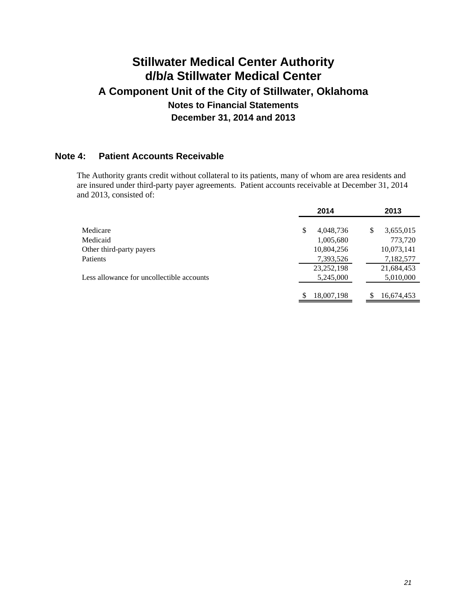## **Note 4: Patient Accounts Receivable**

The Authority grants credit without collateral to its patients, many of whom are area residents and are insured under third-party payer agreements. Patient accounts receivable at December 31, 2014 and 2013, consisted of:

|                                           | 2014            | 2013            |
|-------------------------------------------|-----------------|-----------------|
|                                           |                 |                 |
| Medicare                                  | \$<br>4,048,736 | \$<br>3,655,015 |
| Medicaid                                  | 1,005,680       | 773,720         |
| Other third-party payers                  | 10,804,256      | 10,073,141      |
| <b>Patients</b>                           | 7,393,526       | 7,182,577       |
|                                           | 23, 252, 198    | 21,684,453      |
| Less allowance for uncollectible accounts | 5,245,000       | 5,010,000       |
|                                           |                 |                 |
|                                           | 18,007,198      | 16,674,453      |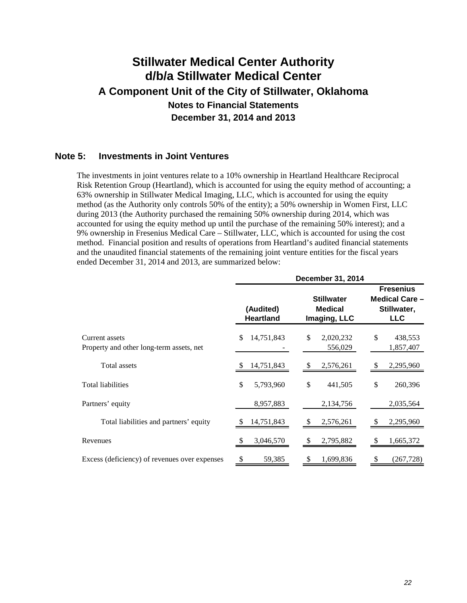### **Note 5: Investments in Joint Ventures**

The investments in joint ventures relate to a 10% ownership in Heartland Healthcare Reciprocal Risk Retention Group (Heartland), which is accounted for using the equity method of accounting; a 63% ownership in Stillwater Medical Imaging, LLC, which is accounted for using the equity method (as the Authority only controls 50% of the entity); a 50% ownership in Women First, LLC during 2013 (the Authority purchased the remaining 50% ownership during 2014, which was accounted for using the equity method up until the purchase of the remaining 50% interest); and a 9% ownership in Fresenius Medical Care – Stillwater, LLC, which is accounted for using the cost method. Financial position and results of operations from Heartland's audited financial statements and the unaudited financial statements of the remaining joint venture entities for the fiscal years ended December 31, 2014 and 2013, are summarized below:

|                                                            | December 31, 2014             |            |                                                     |                      |    |                                                                        |
|------------------------------------------------------------|-------------------------------|------------|-----------------------------------------------------|----------------------|----|------------------------------------------------------------------------|
|                                                            | (Audited)<br><b>Heartland</b> |            | <b>Stillwater</b><br><b>Medical</b><br>Imaging, LLC |                      |    | <b>Fresenius</b><br><b>Medical Care -</b><br>Stillwater,<br><b>LLC</b> |
| Current assets<br>Property and other long-term assets, net | \$                            | 14,751,843 | \$                                                  | 2,020,232<br>556,029 | \$ | 438,553<br>1,857,407                                                   |
| Total assets                                               |                               | 14,751,843 |                                                     | 2,576,261            |    | 2,295,960                                                              |
| <b>Total liabilities</b>                                   | \$                            | 5,793,960  | \$                                                  | 441,505              | \$ | 260,396                                                                |
| Partners' equity                                           |                               | 8,957,883  |                                                     | 2,134,756            |    | 2,035,564                                                              |
| Total liabilities and partners' equity                     |                               | 14,751,843 |                                                     | 2,576,261            | S  | 2,295,960                                                              |
| Revenues                                                   |                               | 3,046,570  |                                                     | 2,795,882            |    | 1,665,372                                                              |
| Excess (deficiency) of revenues over expenses              | \$                            | 59,385     | \$                                                  | 1,699,836            | \$ | (267, 728)                                                             |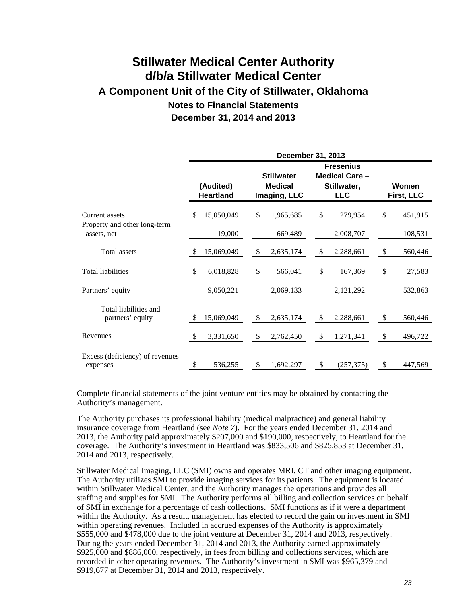|                                                | December 31, 2013             |                                                     |                                                                       |                     |
|------------------------------------------------|-------------------------------|-----------------------------------------------------|-----------------------------------------------------------------------|---------------------|
|                                                | (Audited)<br><b>Heartland</b> | <b>Stillwater</b><br><b>Medical</b><br>Imaging, LLC | <b>Fresenius</b><br><b>Medical Care-</b><br>Stillwater,<br><b>LLC</b> | Women<br>First, LLC |
| Current assets<br>Property and other long-term | 15,050,049<br>\$              | \$<br>1,965,685                                     | \$<br>279,954                                                         | \$<br>451,915       |
| assets, net                                    | 19,000                        | 669,489                                             | 2,008,707                                                             | 108,531             |
| Total assets                                   | 15,069,049                    | 2,635,174                                           | 2,288,661                                                             | 560,446<br>\$       |
| <b>Total liabilities</b>                       | \$<br>6,018,828               | \$<br>566,041                                       | \$<br>167,369                                                         | \$<br>27,583        |
| Partners' equity                               | 9,050,221                     | 2,069,133                                           | 2,121,292                                                             | 532,863             |
| Total liabilities and<br>partners' equity      | 15,069,049                    | 2,635,174                                           | 2,288,661<br>S                                                        | 560,446             |
| Revenues                                       | 3,331,650                     | 2,762,450<br>\$                                     | 1,271,341<br><sup>\$</sup>                                            | 496,722<br>-S       |
| Excess (deficiency) of revenues<br>expenses    | \$<br>536,255                 | \$<br>1,692,297                                     | (257, 375)<br>\$                                                      | \$<br>447,569       |

Complete financial statements of the joint venture entities may be obtained by contacting the Authority's management.

The Authority purchases its professional liability (medical malpractice) and general liability insurance coverage from Heartland (see *Note 7*). For the years ended December 31, 2014 and 2013, the Authority paid approximately \$207,000 and \$190,000, respectively, to Heartland for the coverage. The Authority's investment in Heartland was \$833,506 and \$825,853 at December 31, 2014 and 2013, respectively.

Stillwater Medical Imaging, LLC (SMI) owns and operates MRI, CT and other imaging equipment. The Authority utilizes SMI to provide imaging services for its patients. The equipment is located within Stillwater Medical Center, and the Authority manages the operations and provides all staffing and supplies for SMI. The Authority performs all billing and collection services on behalf of SMI in exchange for a percentage of cash collections. SMI functions as if it were a department within the Authority. As a result, management has elected to record the gain on investment in SMI within operating revenues. Included in accrued expenses of the Authority is approximately \$555,000 and \$478,000 due to the joint venture at December 31, 2014 and 2013, respectively. During the years ended December 31, 2014 and 2013, the Authority earned approximately \$925,000 and \$886,000, respectively, in fees from billing and collections services, which are recorded in other operating revenues. The Authority's investment in SMI was \$965,379 and \$919,677 at December 31, 2014 and 2013, respectively.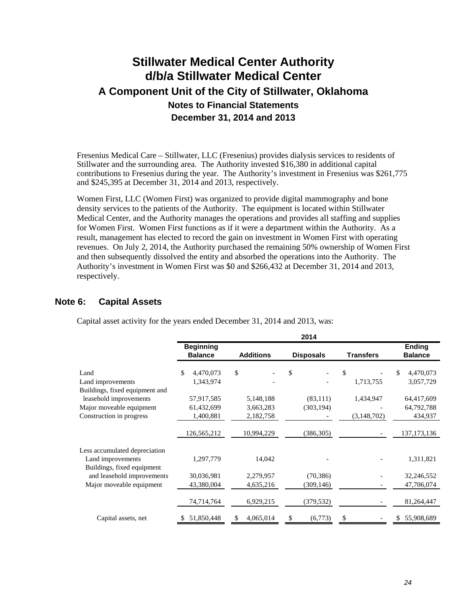Fresenius Medical Care – Stillwater, LLC (Fresenius) provides dialysis services to residents of Stillwater and the surrounding area. The Authority invested \$16,380 in additional capital contributions to Fresenius during the year. The Authority's investment in Fresenius was \$261,775 and \$245,395 at December 31, 2014 and 2013, respectively.

Women First, LLC (Women First) was organized to provide digital mammography and bone density services to the patients of the Authority. The equipment is located within Stillwater Medical Center, and the Authority manages the operations and provides all staffing and supplies for Women First. Women First functions as if it were a department within the Authority. As a result, management has elected to record the gain on investment in Women First with operating revenues. On July 2, 2014, the Authority purchased the remaining 50% ownership of Women First and then subsequently dissolved the entity and absorbed the operations into the Authority. The Authority's investment in Women First was \$0 and \$266,432 at December 31, 2014 and 2013, respectively.

### **Note 6: Capital Assets**

Capital asset activity for the years ended December 31, 2014 and 2013, was:

|                                                                                  |                                    |                  | 2014             |                  |                                 |
|----------------------------------------------------------------------------------|------------------------------------|------------------|------------------|------------------|---------------------------------|
|                                                                                  | <b>Beginning</b><br><b>Balance</b> | <b>Additions</b> | <b>Disposals</b> | <b>Transfers</b> | <b>Ending</b><br><b>Balance</b> |
| Land<br>Land improvements                                                        | \$<br>4,470,073<br>1,343,974       | \$               | \$               | \$<br>1,713,755  | 4,470,073<br>\$<br>3,057,729    |
| Buildings, fixed equipment and<br>leasehold improvements                         | 57,917,585                         | 5,148,188        | (83,111)         | 1,434,947        | 64,417,609                      |
| Major moveable equipment                                                         | 61,432,699                         | 3,663,283        | (303, 194)       |                  | 64,792,788                      |
| Construction in progress                                                         | 1,400,881                          | 2,182,758        |                  | (3, 148, 702)    | 434,937                         |
|                                                                                  | 126,565,212                        | 10,994,229       | (386, 305)       |                  | 137, 173, 136                   |
| Less accumulated depreciation<br>Land improvements<br>Buildings, fixed equipment | 1,297,779                          | 14,042           |                  |                  | 1,311,821                       |
| and leasehold improvements                                                       | 30,036,981                         | 2,279,957        | (70, 386)        |                  | 32,246,552                      |
| Major moveable equipment                                                         | 43,380,004                         | 4,635,216        | (309, 146)       |                  | 47,706,074                      |
|                                                                                  | 74,714,764                         | 6,929,215        | (379, 532)       |                  | 81,264,447                      |
| Capital assets, net                                                              | 51,850,448<br>S                    | 4,065,014<br>\$. | (6,773)<br>\$.   | \$.              | 55,908,689<br>S                 |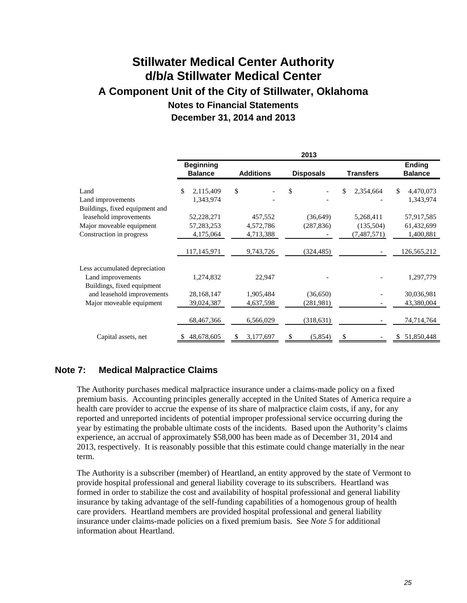|                                |                                    |                  | 2013             |                  |                                 |
|--------------------------------|------------------------------------|------------------|------------------|------------------|---------------------------------|
|                                | <b>Beginning</b><br><b>Balance</b> | <b>Additions</b> | <b>Disposals</b> | <b>Transfers</b> | <b>Ending</b><br><b>Balance</b> |
| Land                           | \$<br>2,115,409                    | \$               | \$               | 2,354,664<br>\$  | 4,470,073<br>\$                 |
| Land improvements              | 1,343,974                          |                  |                  |                  | 1,343,974                       |
| Buildings, fixed equipment and |                                    |                  |                  |                  |                                 |
| leasehold improvements         | 52,228,271                         | 457,552          | (36, 649)        | 5,268,411        | 57,917,585                      |
| Major moveable equipment       | 57,283,253                         | 4,572,786        | (287, 836)       | (135,504)        | 61,432,699                      |
| Construction in progress       | 4,175,064                          | 4,713,388        |                  | (7,487,571)      | 1,400,881                       |
|                                |                                    |                  |                  |                  |                                 |
|                                | 117,145,971                        | 9,743,726        | (324, 485)       |                  | 126,565,212                     |
| Less accumulated depreciation  |                                    |                  |                  |                  |                                 |
| Land improvements              | 1,274,832                          | 22,947           |                  |                  | 1,297,779                       |
| Buildings, fixed equipment     |                                    |                  |                  |                  |                                 |
| and leasehold improvements     | 28,168,147                         | 1,905,484        | (36,650)         |                  | 30,036,981                      |
| Major moveable equipment       | 39,024,387                         | 4,637,598        | (281,981)        |                  | 43,380,004                      |
|                                |                                    |                  |                  |                  |                                 |
|                                | 68,467,366                         | 6,566,029        | (318, 631)       |                  | 74,714,764                      |
| Capital assets, net            | 48,678,605                         | 3,177,697        | (5,854)<br>\$    |                  | 51,850,448                      |

## **Note 7: Medical Malpractice Claims**

The Authority purchases medical malpractice insurance under a claims-made policy on a fixed premium basis. Accounting principles generally accepted in the United States of America require a health care provider to accrue the expense of its share of malpractice claim costs, if any, for any reported and unreported incidents of potential improper professional service occurring during the year by estimating the probable ultimate costs of the incidents. Based upon the Authority's claims experience, an accrual of approximately \$58,000 has been made as of December 31, 2014 and 2013, respectively. It is reasonably possible that this estimate could change materially in the near term.

The Authority is a subscriber (member) of Heartland, an entity approved by the state of Vermont to provide hospital professional and general liability coverage to its subscribers. Heartland was formed in order to stabilize the cost and availability of hospital professional and general liability insurance by taking advantage of the self-funding capabilities of a homogenous group of health care providers. Heartland members are provided hospital professional and general liability insurance under claims-made policies on a fixed premium basis. See *Note 5* for additional information about Heartland.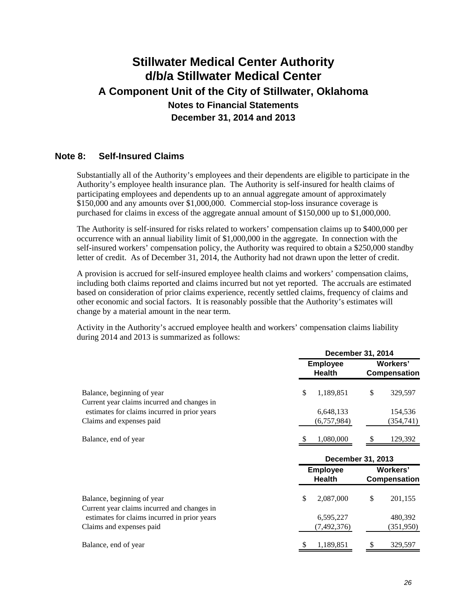### **Note 8: Self-Insured Claims**

Substantially all of the Authority's employees and their dependents are eligible to participate in the Authority's employee health insurance plan. The Authority is self-insured for health claims of participating employees and dependents up to an annual aggregate amount of approximately \$150,000 and any amounts over \$1,000,000. Commercial stop-loss insurance coverage is purchased for claims in excess of the aggregate annual amount of \$150,000 up to \$1,000,000.

The Authority is self-insured for risks related to workers' compensation claims up to \$400,000 per occurrence with an annual liability limit of \$1,000,000 in the aggregate. In connection with the self-insured workers' compensation policy, the Authority was required to obtain a \$250,000 standby letter of credit. As of December 31, 2014, the Authority had not drawn upon the letter of credit.

A provision is accrued for self-insured employee health claims and workers' compensation claims, including both claims reported and claims incurred but not yet reported. The accruals are estimated based on consideration of prior claims experience, recently settled claims, frequency of claims and other economic and social factors. It is reasonably possible that the Authority's estimates will change by a material amount in the near term.

Activity in the Authority's accrued employee health and workers' compensation claims liability during 2014 and 2013 is summarized as follows:

|                                                                                             | December 31, 2014                |                                 |  |  |
|---------------------------------------------------------------------------------------------|----------------------------------|---------------------------------|--|--|
|                                                                                             | <b>Employee</b><br><b>Health</b> | Workers'<br><b>Compensation</b> |  |  |
| Balance, beginning of year                                                                  | \$<br>1,189,851                  | \$<br>329,597                   |  |  |
| Current year claims incurred and changes in<br>estimates for claims incurred in prior years | 6,648,133                        | 154,536                         |  |  |
| Claims and expenses paid                                                                    | (6,757,984)                      | (354,741)                       |  |  |
| Balance, end of year                                                                        | 1,080,000                        | 129,392                         |  |  |
|                                                                                             | <b>December 31, 2013</b>         |                                 |  |  |
|                                                                                             | <b>Employee</b><br>Health        | Workers'<br><b>Compensation</b> |  |  |
| Balance, beginning of year                                                                  | \$<br>2,087,000                  | \$<br>201,155                   |  |  |
| Current year claims incurred and changes in<br>estimates for claims incurred in prior years | 6,595,227                        | 480,392                         |  |  |
| Claims and expenses paid                                                                    | (7, 492, 376)                    | (351,950)                       |  |  |
| Balance, end of year                                                                        | 1,189,851<br>S                   | \$<br>329,597                   |  |  |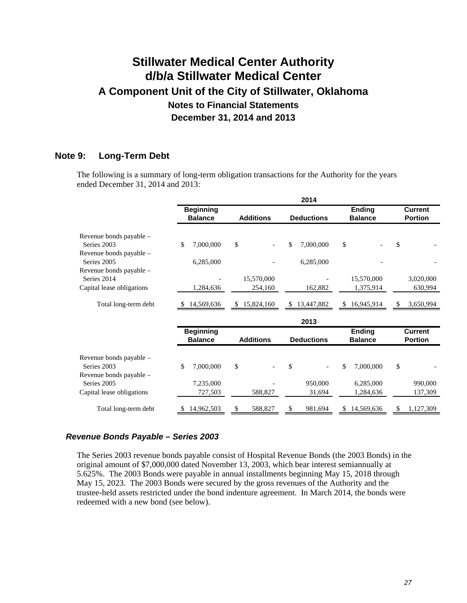## **Note 9: Long-Term Debt**

The following is a summary of long-term obligation transactions for the Authority for the years ended December 31, 2014 and 2013:

|                                        |                                    |                  | 2014              |                                 |                                  |
|----------------------------------------|------------------------------------|------------------|-------------------|---------------------------------|----------------------------------|
|                                        | <b>Beginning</b><br><b>Balance</b> | <b>Additions</b> | <b>Deductions</b> | <b>Ending</b><br><b>Balance</b> | <b>Current</b><br><b>Portion</b> |
| Revenue bonds payable –                |                                    |                  |                   |                                 |                                  |
| Series 2003                            | 7,000,000<br>\$                    | \$               | 7,000,000         | \$                              | \$                               |
| Revenue bonds payable -                |                                    |                  |                   |                                 |                                  |
| Series 2005                            | 6,285,000                          |                  | 6,285,000         |                                 |                                  |
| Revenue bonds payable -<br>Series 2014 |                                    | 15,570,000       |                   | 15,570,000                      | 3,020,000                        |
| Capital lease obligations              | 1,284,636                          | 254,160          | 162,882           | 1,375,914                       | 630,994                          |
|                                        |                                    |                  |                   |                                 |                                  |
| Total long-term debt                   | 14,569,636                         | 15,824,160<br>S  | 13,447,882<br>\$  | 16,945,914<br>\$                | 3,650,994                        |
|                                        |                                    |                  | 2013              |                                 |                                  |
|                                        | <b>Beginning</b><br><b>Balance</b> | <b>Additions</b> | <b>Deductions</b> | <b>Ending</b><br><b>Balance</b> | <b>Current</b><br><b>Portion</b> |
| Revenue bonds payable -                |                                    |                  |                   |                                 |                                  |
| Series 2003                            | \$<br>7,000,000                    | \$               | \$.               | \$.<br>7,000,000                | \$                               |
| Revenue bonds payable -                |                                    |                  |                   |                                 |                                  |
| Series 2005                            | 7,235,000                          |                  | 950,000           | 6,285,000                       | 990,000                          |
| Capital lease obligations              | 727,503                            | 588,827          | 31,694            | 1,284,636                       | 137,309                          |
| Total long-term debt                   | 14,962,503<br>æ.                   | 588,827<br>\$    | 981,694           | 14,569,636<br>S                 | 1,127,309                        |

#### *Revenue Bonds Payable – Series 2003*

The Series 2003 revenue bonds payable consist of Hospital Revenue Bonds (the 2003 Bonds) in the original amount of \$7,000,000 dated November 13, 2003, which bear interest semiannually at 5.625%. The 2003 Bonds were payable in annual installments beginning May 15, 2018 through May 15, 2023. The 2003 Bonds were secured by the gross revenues of the Authority and the trustee-held assets restricted under the bond indenture agreement. In March 2014, the bonds were redeemed with a new bond (see below).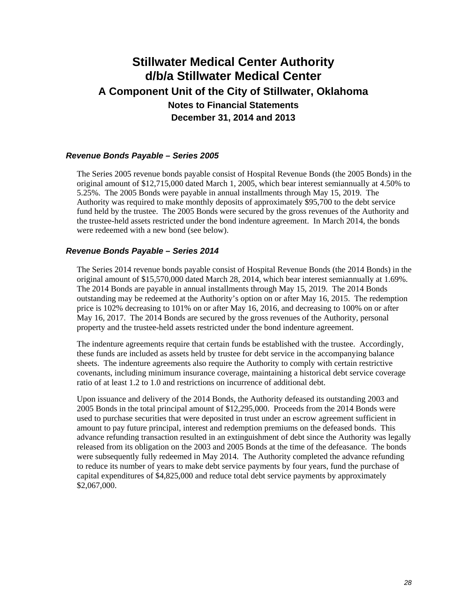#### *Revenue Bonds Payable – Series 2005*

The Series 2005 revenue bonds payable consist of Hospital Revenue Bonds (the 2005 Bonds) in the original amount of \$12,715,000 dated March 1, 2005, which bear interest semiannually at 4.50% to 5.25%. The 2005 Bonds were payable in annual installments through May 15, 2019. The Authority was required to make monthly deposits of approximately \$95,700 to the debt service fund held by the trustee. The 2005 Bonds were secured by the gross revenues of the Authority and the trustee-held assets restricted under the bond indenture agreement. In March 2014, the bonds were redeemed with a new bond (see below).

#### *Revenue Bonds Payable – Series 2014*

The Series 2014 revenue bonds payable consist of Hospital Revenue Bonds (the 2014 Bonds) in the original amount of \$15,570,000 dated March 28, 2014, which bear interest semiannually at 1.69%. The 2014 Bonds are payable in annual installments through May 15, 2019. The 2014 Bonds outstanding may be redeemed at the Authority's option on or after May 16, 2015. The redemption price is 102% decreasing to 101% on or after May 16, 2016, and decreasing to 100% on or after May 16, 2017. The 2014 Bonds are secured by the gross revenues of the Authority, personal property and the trustee-held assets restricted under the bond indenture agreement.

The indenture agreements require that certain funds be established with the trustee. Accordingly, these funds are included as assets held by trustee for debt service in the accompanying balance sheets. The indenture agreements also require the Authority to comply with certain restrictive covenants, including minimum insurance coverage, maintaining a historical debt service coverage ratio of at least 1.2 to 1.0 and restrictions on incurrence of additional debt.

Upon issuance and delivery of the 2014 Bonds, the Authority defeased its outstanding 2003 and 2005 Bonds in the total principal amount of \$12,295,000. Proceeds from the 2014 Bonds were used to purchase securities that were deposited in trust under an escrow agreement sufficient in amount to pay future principal, interest and redemption premiums on the defeased bonds. This advance refunding transaction resulted in an extinguishment of debt since the Authority was legally released from its obligation on the 2003 and 2005 Bonds at the time of the defeasance. The bonds were subsequently fully redeemed in May 2014. The Authority completed the advance refunding to reduce its number of years to make debt service payments by four years, fund the purchase of capital expenditures of \$4,825,000 and reduce total debt service payments by approximately \$2,067,000.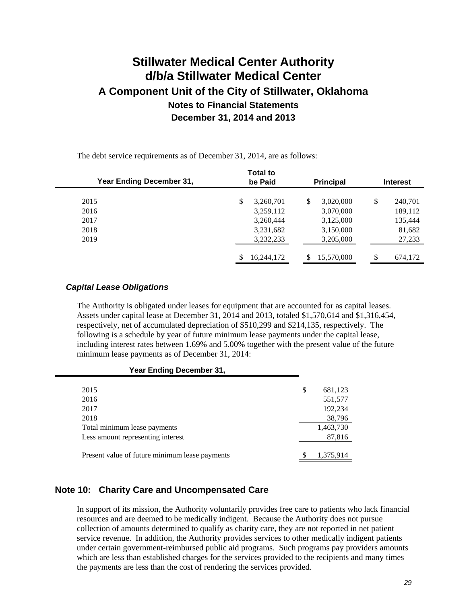The debt service requirements as of December 31, 2014, are as follows:

| <b>Year Ending December 31,</b> | <b>Total to</b><br>be Paid | <b>Principal</b> | <b>Interest</b> |  |
|---------------------------------|----------------------------|------------------|-----------------|--|
| 2015                            | \$<br>3,260,701            | \$<br>3,020,000  | \$<br>240,701   |  |
| 2016                            | 3,259,112                  | 3,070,000        | 189,112         |  |
| 2017                            | 3,260,444                  | 3,125,000        | 135,444         |  |
| 2018                            | 3,231,682                  | 3,150,000        | 81,682          |  |
| 2019                            | 3,232,233                  | 3,205,000        | 27,233          |  |
|                                 |                            |                  |                 |  |
|                                 | \$<br>16.244.172           | 15,570,000       | \$<br>674.172   |  |

#### *Capital Lease Obligations*

The Authority is obligated under leases for equipment that are accounted for as capital leases. Assets under capital lease at December 31, 2014 and 2013, totaled \$1,570,614 and \$1,316,454, respectively, net of accumulated depreciation of \$510,299 and \$214,135, respectively. The following is a schedule by year of future minimum lease payments under the capital lease, including interest rates between 1.69% and 5.00% together with the present value of the future minimum lease payments as of December 31, 2014:

| Year Ending December 31,                       |    |           |
|------------------------------------------------|----|-----------|
| 2015                                           | \$ | 681,123   |
| 2016                                           |    | 551,577   |
| 2017                                           |    | 192,234   |
| 2018                                           |    | 38,796    |
| Total minimum lease payments                   |    | 1,463,730 |
| Less amount representing interest              |    | 87,816    |
|                                                |    |           |
| Present value of future minimum lease payments | S  | 1,375,914 |

### **Note 10: Charity Care and Uncompensated Care**

In support of its mission, the Authority voluntarily provides free care to patients who lack financial resources and are deemed to be medically indigent. Because the Authority does not pursue collection of amounts determined to qualify as charity care, they are not reported in net patient service revenue. In addition, the Authority provides services to other medically indigent patients under certain government-reimbursed public aid programs. Such programs pay providers amounts which are less than established charges for the services provided to the recipients and many times the payments are less than the cost of rendering the services provided.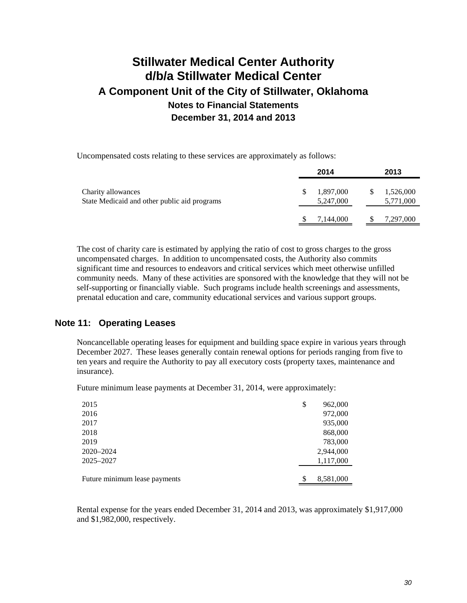Uncompensated costs relating to these services are approximately as follows:

|                                                                    | 2014                   |   | 2013                   |
|--------------------------------------------------------------------|------------------------|---|------------------------|
| Charity allowances<br>State Medicaid and other public aid programs | 1,897,000<br>5,247,000 | S | 1,526,000<br>5,771,000 |
|                                                                    | 7,144,000              |   | 7,297,000              |

The cost of charity care is estimated by applying the ratio of cost to gross charges to the gross uncompensated charges. In addition to uncompensated costs, the Authority also commits significant time and resources to endeavors and critical services which meet otherwise unfilled community needs. Many of these activities are sponsored with the knowledge that they will not be self-supporting or financially viable. Such programs include health screenings and assessments, prenatal education and care, community educational services and various support groups.

### **Note 11: Operating Leases**

Noncancellable operating leases for equipment and building space expire in various years through December 2027. These leases generally contain renewal options for periods ranging from five to ten years and require the Authority to pay all executory costs (property taxes, maintenance and insurance).

Future minimum lease payments at December 31, 2014, were approximately:

| 2015                          | \$ | 962,000   |
|-------------------------------|----|-----------|
| 2016                          |    | 972,000   |
| 2017                          |    | 935,000   |
| 2018                          |    | 868,000   |
| 2019                          |    | 783,000   |
| 2020-2024                     |    | 2,944,000 |
| 2025–2027                     |    | 1,117,000 |
|                               |    |           |
| Future minimum lease payments | S  | 8,581,000 |

Rental expense for the years ended December 31, 2014 and 2013, was approximately \$1,917,000 and \$1,982,000, respectively.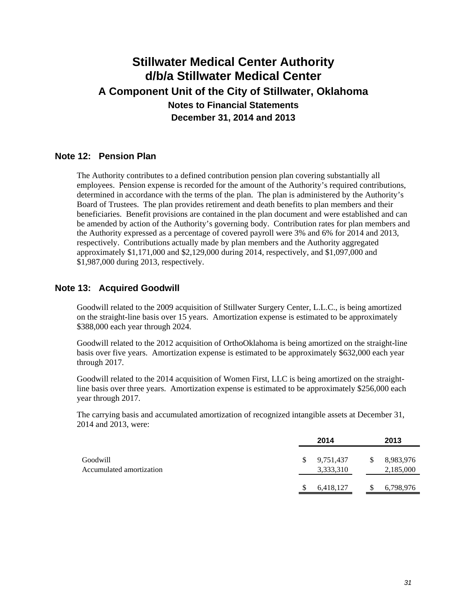### **Note 12: Pension Plan**

The Authority contributes to a defined contribution pension plan covering substantially all employees. Pension expense is recorded for the amount of the Authority's required contributions, determined in accordance with the terms of the plan. The plan is administered by the Authority's Board of Trustees. The plan provides retirement and death benefits to plan members and their beneficiaries. Benefit provisions are contained in the plan document and were established and can be amended by action of the Authority's governing body. Contribution rates for plan members and the Authority expressed as a percentage of covered payroll were 3% and 6% for 2014 and 2013, respectively. Contributions actually made by plan members and the Authority aggregated approximately \$1,171,000 and \$2,129,000 during 2014, respectively, and \$1,097,000 and \$1,987,000 during 2013, respectively.

### **Note 13: Acquired Goodwill**

Goodwill related to the 2009 acquisition of Stillwater Surgery Center, L.L.C., is being amortized on the straight-line basis over 15 years. Amortization expense is estimated to be approximately \$388,000 each year through 2024.

Goodwill related to the 2012 acquisition of OrthoOklahoma is being amortized on the straight-line basis over five years. Amortization expense is estimated to be approximately \$632,000 each year through 2017.

Goodwill related to the 2014 acquisition of Women First, LLC is being amortized on the straightline basis over three years. Amortization expense is estimated to be approximately \$256,000 each year through 2017.

The carrying basis and accumulated amortization of recognized intangible assets at December 31, 2014 and 2013, were:

|                                      |   | 2014                   |    | 2013                   |
|--------------------------------------|---|------------------------|----|------------------------|
| Goodwill<br>Accumulated amortization | S | 9,751,437<br>3,333,310 | \$ | 8,983,976<br>2,185,000 |
|                                      |   | 6,418,127              | S  | 6,798,976              |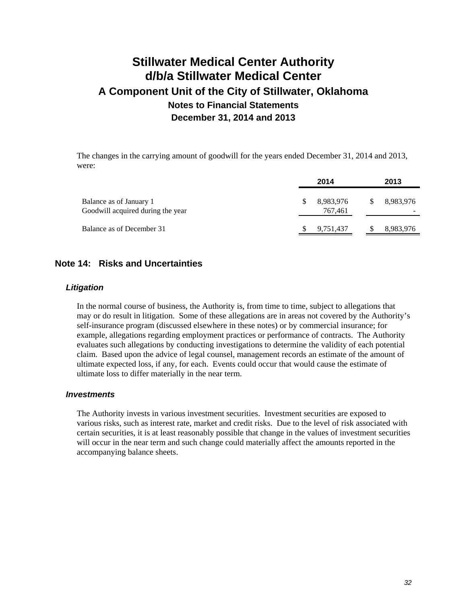The changes in the carrying amount of goodwill for the years ended December 31, 2014 and 2013, were:

|                                                              | 2014                 |   | 2013      |
|--------------------------------------------------------------|----------------------|---|-----------|
| Balance as of January 1<br>Goodwill acquired during the year | 8,983,976<br>767,461 | S | 8,983,976 |
| Balance as of December 31                                    | 9,751,437            |   | 8,983,976 |

### **Note 14: Risks and Uncertainties**

#### *Litigation*

In the normal course of business, the Authority is, from time to time, subject to allegations that may or do result in litigation. Some of these allegations are in areas not covered by the Authority's self-insurance program (discussed elsewhere in these notes) or by commercial insurance; for example, allegations regarding employment practices or performance of contracts. The Authority evaluates such allegations by conducting investigations to determine the validity of each potential claim. Based upon the advice of legal counsel, management records an estimate of the amount of ultimate expected loss, if any, for each. Events could occur that would cause the estimate of ultimate loss to differ materially in the near term.

#### *Investments*

The Authority invests in various investment securities. Investment securities are exposed to various risks, such as interest rate, market and credit risks. Due to the level of risk associated with certain securities, it is at least reasonably possible that change in the values of investment securities will occur in the near term and such change could materially affect the amounts reported in the accompanying balance sheets.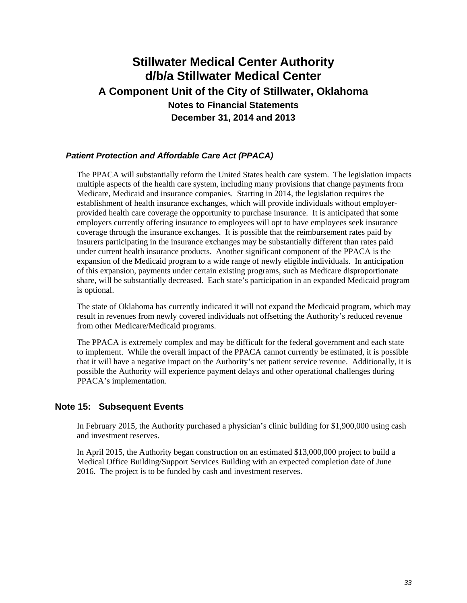#### *Patient Protection and Affordable Care Act (PPACA)*

The PPACA will substantially reform the United States health care system. The legislation impacts multiple aspects of the health care system, including many provisions that change payments from Medicare, Medicaid and insurance companies. Starting in 2014, the legislation requires the establishment of health insurance exchanges, which will provide individuals without employerprovided health care coverage the opportunity to purchase insurance. It is anticipated that some employers currently offering insurance to employees will opt to have employees seek insurance coverage through the insurance exchanges. It is possible that the reimbursement rates paid by insurers participating in the insurance exchanges may be substantially different than rates paid under current health insurance products. Another significant component of the PPACA is the expansion of the Medicaid program to a wide range of newly eligible individuals. In anticipation of this expansion, payments under certain existing programs, such as Medicare disproportionate share, will be substantially decreased. Each state's participation in an expanded Medicaid program is optional.

The state of Oklahoma has currently indicated it will not expand the Medicaid program, which may result in revenues from newly covered individuals not offsetting the Authority's reduced revenue from other Medicare/Medicaid programs.

The PPACA is extremely complex and may be difficult for the federal government and each state to implement. While the overall impact of the PPACA cannot currently be estimated, it is possible that it will have a negative impact on the Authority's net patient service revenue. Additionally, it is possible the Authority will experience payment delays and other operational challenges during PPACA's implementation.

### **Note 15: Subsequent Events**

In February 2015, the Authority purchased a physician's clinic building for \$1,900,000 using cash and investment reserves.

In April 2015, the Authority began construction on an estimated \$13,000,000 project to build a Medical Office Building/Support Services Building with an expected completion date of June 2016. The project is to be funded by cash and investment reserves.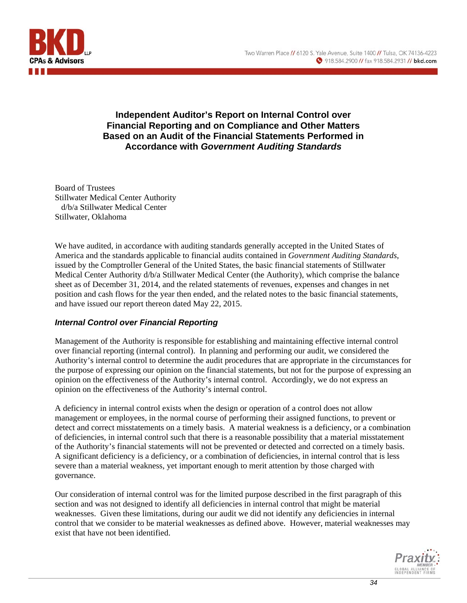

## **Independent Auditor's Report on Internal Control over Financial Reporting and on Compliance and Other Matters Based on an Audit of the Financial Statements Performed in Accordance with** *Government Auditing Standards*

Board of Trustees Stillwater Medical Center Authority d/b/a Stillwater Medical Center Stillwater, Oklahoma

We have audited, in accordance with auditing standards generally accepted in the United States of America and the standards applicable to financial audits contained in *Government Auditing Standards*, issued by the Comptroller General of the United States, the basic financial statements of Stillwater Medical Center Authority d/b/a Stillwater Medical Center (the Authority), which comprise the balance sheet as of December 31, 2014, and the related statements of revenues, expenses and changes in net position and cash flows for the year then ended, and the related notes to the basic financial statements, and have issued our report thereon dated May 22, 2015.

## *Internal Control over Financial Reporting*

Management of the Authority is responsible for establishing and maintaining effective internal control over financial reporting (internal control). In planning and performing our audit, we considered the Authority's internal control to determine the audit procedures that are appropriate in the circumstances for the purpose of expressing our opinion on the financial statements, but not for the purpose of expressing an opinion on the effectiveness of the Authority's internal control. Accordingly, we do not express an opinion on the effectiveness of the Authority's internal control.

A deficiency in internal control exists when the design or operation of a control does not allow management or employees, in the normal course of performing their assigned functions, to prevent or detect and correct misstatements on a timely basis. A material weakness is a deficiency, or a combination of deficiencies, in internal control such that there is a reasonable possibility that a material misstatement of the Authority's financial statements will not be prevented or detected and corrected on a timely basis. A significant deficiency is a deficiency, or a combination of deficiencies, in internal control that is less severe than a material weakness, yet important enough to merit attention by those charged with governance.

Our consideration of internal control was for the limited purpose described in the first paragraph of this section and was not designed to identify all deficiencies in internal control that might be material weaknesses. Given these limitations, during our audit we did not identify any deficiencies in internal control that we consider to be material weaknesses as defined above. However, material weaknesses may exist that have not been identified.